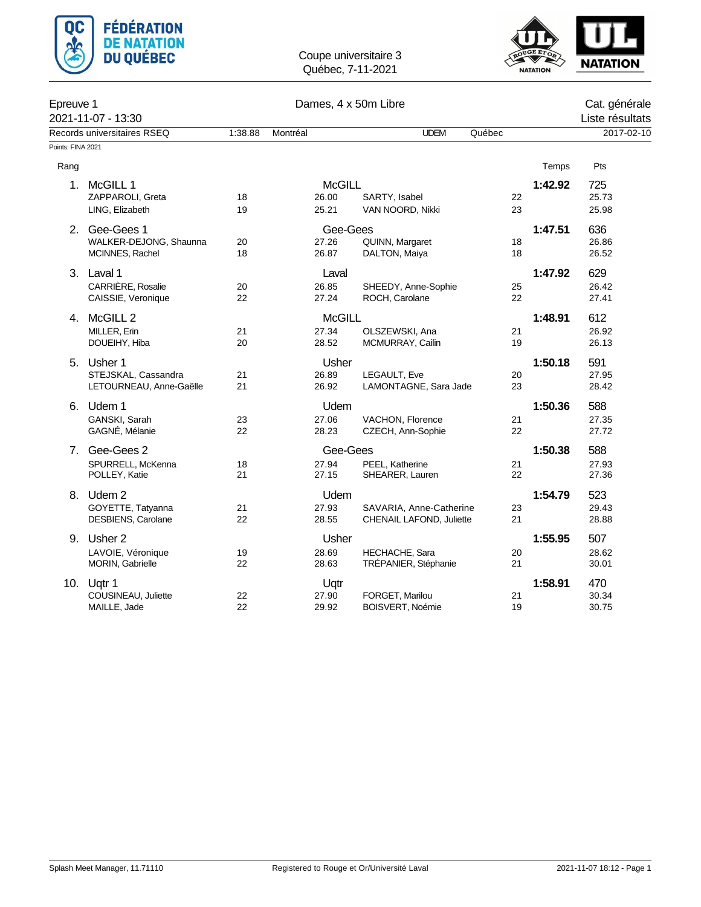



| Epreuve 1         | 2021-11-07 - 13:30          |         |               | Cat. générale<br>Liste résultats |        |         |            |
|-------------------|-----------------------------|---------|---------------|----------------------------------|--------|---------|------------|
|                   | Records universitaires RSEQ | 1:38.88 | Montréal      | <b>UDEM</b>                      | Québec |         | 2017-02-10 |
| Points: FINA 2021 |                             |         |               |                                  |        |         |            |
| Rang              |                             |         |               |                                  |        | Temps   | Pts        |
| 1.                | McGILL 1                    |         | <b>McGILL</b> |                                  |        | 1:42.92 | 725        |
|                   | ZAPPAROLI, Greta            | 18      | 26.00         | SARTY, Isabel                    | 22     |         | 25.73      |
|                   | LING, Elizabeth             | 19      | 25.21         | VAN NOORD, Nikki                 | 23     |         | 25.98      |
| 2.                | Gee-Gees 1                  |         | Gee-Gees      |                                  |        | 1:47.51 | 636        |
|                   | WALKER-DEJONG, Shaunna      | 20      | 27.26         | QUINN, Margaret                  | 18     |         | 26.86      |
|                   | MCINNES, Rachel             | 18      | 26.87         | DALTON, Maiya                    | 18     |         | 26.52      |
|                   | 3. Laval 1                  |         | Laval         |                                  |        | 1:47.92 | 629        |
|                   | CARRIÈRE, Rosalie           | 20      | 26.85         | SHEEDY, Anne-Sophie              | 25     |         | 26.42      |
|                   | CAISSIE, Veronique          | 22      | 27.24         | ROCH, Carolane                   | 22     |         | 27.41      |
|                   | 4. McGILL 2                 |         | <b>McGILL</b> |                                  |        | 1:48.91 | 612        |
|                   | MILLER, Erin                | 21      | 27.34         | OLSZEWSKI, Ana                   | 21     |         | 26.92      |
|                   | DOUEIHY, Hiba               | 20      | 28.52         | MCMURRAY, Cailin                 | 19     |         | 26.13      |
| 5.                | Usher 1                     |         | Usher         |                                  |        | 1:50.18 | 591        |
|                   | STEJSKAL, Cassandra         | 21      | 26.89         | LEGAULT, Eve                     | 20     |         | 27.95      |
|                   | LETOURNEAU, Anne-Gaëlle     | 21      | 26.92         | LAMONTAGNE, Sara Jade            | 23     |         | 28.42      |
|                   | 6. Udem 1                   |         | Udem          |                                  |        | 1:50.36 | 588        |
|                   | GANSKI, Sarah               | 23      | 27.06         | VACHON, Florence                 | 21     |         | 27.35      |
|                   | GAGNÉ, Mélanie              | 22      | 28.23         | CZECH, Ann-Sophie                | 22     |         | 27.72      |
| 7.                | Gee-Gees 2                  |         | Gee-Gees      |                                  |        | 1:50.38 | 588        |
|                   | SPURRELL, McKenna           | 18      | 27.94         | PEEL, Katherine                  | 21     |         | 27.93      |
|                   | POLLEY, Katie               | 21      | 27.15         | SHEARER, Lauren                  | 22     |         | 27.36      |
|                   | 8. Udem 2                   |         | Udem          |                                  |        | 1:54.79 | 523        |
|                   | GOYETTE, Tatyanna           | 21      | 27.93         | SAVARIA, Anne-Catherine          | 23     |         | 29.43      |
|                   | DESBIENS, Carolane          | 22      | 28.55         | CHENAIL LAFOND, Juliette         | 21     |         | 28.88      |
|                   | 9. Usher 2                  |         | <b>Usher</b>  |                                  |        | 1:55.95 | 507        |
|                   | LAVOIE, Véronique           | 19      | 28.69         | HECHACHE, Sara                   | 20     |         | 28.62      |
|                   | MORIN, Gabrielle            | 22      | 28.63         | TRÉPANIER, Stéphanie             | 21     |         | 30.01      |
| 10.               | Ugtr 1                      |         | Uqtr          |                                  |        | 1:58.91 | 470        |
|                   | COUSINEAU, Juliette         | 22      | 27.90         | FORGET, Marilou                  | 21     |         | 30.34      |
|                   | MAILLE, Jade                | 22      | 29.92         | <b>BOISVERT, Noémie</b>          | 19     |         | 30.75      |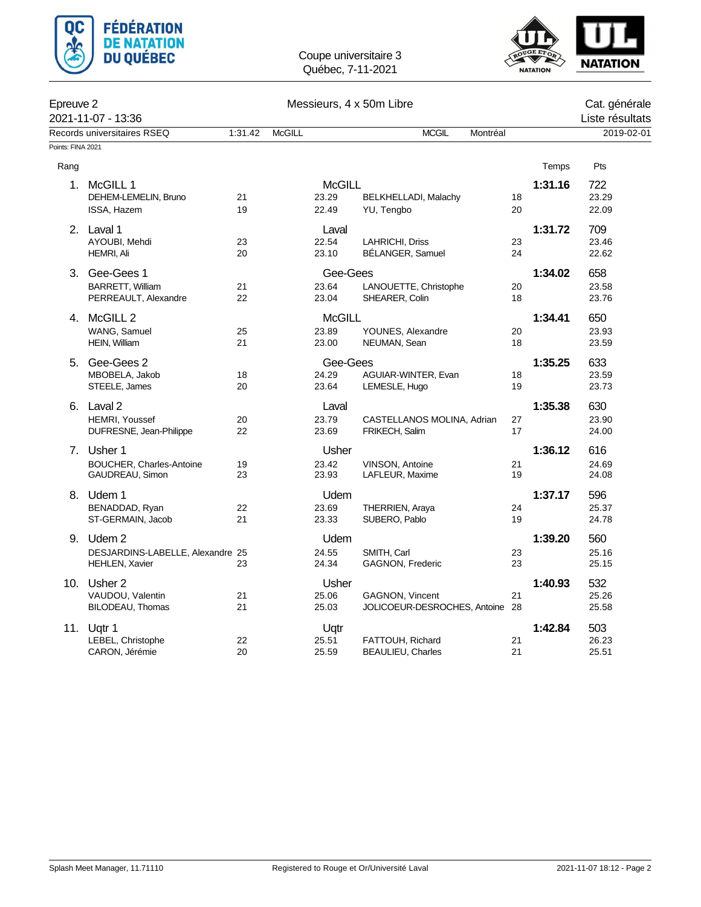



| Epreuve 2         | 2021-11-07 - 13:36                                               | Messieurs, 4 x 50m Libre |               |                                 |                                                    |          |         |                               |  |
|-------------------|------------------------------------------------------------------|--------------------------|---------------|---------------------------------|----------------------------------------------------|----------|---------|-------------------------------|--|
|                   | Records universitaires RSEQ                                      | 1:31.42                  | <b>McGILL</b> |                                 | <b>MCGIL</b><br>Montréal                           |          |         | Liste résultats<br>2019-02-01 |  |
| Points: FINA 2021 |                                                                  |                          |               |                                 |                                                    |          |         |                               |  |
| Rang              |                                                                  |                          |               |                                 |                                                    |          | Temps   | Pts                           |  |
|                   | 1. McGILL 1<br>DEHEM-LEMELIN, Bruno<br>ISSA, Hazem               | 21<br>19                 |               | <b>McGILL</b><br>23.29<br>22.49 | BELKHELLADI, Malachy<br>YU, Tengbo                 | 18<br>20 | 1:31.16 | 722<br>23.29<br>22.09         |  |
|                   | 2. Laval 1<br>AYOUBI, Mehdi<br>HEMRI, Ali                        | 23<br>20                 |               | Laval<br>22.54<br>23.10         | LAHRICHI, Driss<br>BÉLANGER, Samuel                | 23<br>24 | 1:31.72 | 709<br>23.46<br>22.62         |  |
|                   | 3. Gee-Gees 1<br><b>BARRETT, William</b><br>PERREAULT, Alexandre | 21<br>22                 |               | Gee-Gees<br>23.64<br>23.04      | LANOUETTE, Christophe<br>SHEARER, Colin            | 20<br>18 | 1:34.02 | 658<br>23.58<br>23.76         |  |
| 4.                | McGILL <sub>2</sub><br>WANG, Samuel<br>HEIN, William             | 25<br>21                 |               | <b>McGILL</b><br>23.89<br>23.00 | YOUNES, Alexandre<br>NEUMAN, Sean                  | 20<br>18 | 1:34.41 | 650<br>23.93<br>23.59         |  |
| 5.                | Gee-Gees 2<br>MBOBELA, Jakob<br>STEELE, James                    | 18<br>20                 |               | Gee-Gees<br>24.29<br>23.64      | AGUIAR-WINTER, Evan<br>LEMESLE, Hugo               | 18<br>19 | 1:35.25 | 633<br>23.59<br>23.73         |  |
|                   | 6. Laval 2<br>HEMRI, Youssef<br>DUFRESNE, Jean-Philippe          | 20<br>22                 |               | Laval<br>23.79<br>23.69         | CASTELLANOS MOLINA, Adrian<br>FRIKECH, Salim       | 27<br>17 | 1:35.38 | 630<br>23.90<br>24.00         |  |
|                   | 7. Usher 1<br>BOUCHER, Charles-Antoine<br>GAUDREAU, Simon        | 19<br>23                 |               | Usher<br>23.42<br>23.93         | <b>VINSON, Antoine</b><br>LAFLEUR, Maxime          | 21<br>19 | 1:36.12 | 616<br>24.69<br>24.08         |  |
|                   | 8. Udem 1<br>BENADDAD, Ryan<br>ST-GERMAIN, Jacob                 | 22<br>21                 |               | <b>Udem</b><br>23.69<br>23.33   | <b>THERRIEN, Araya</b><br>SUBERO, Pablo            | 24<br>19 | 1:37.17 | 596<br>25.37<br>24.78         |  |
|                   | 9. Udem 2<br>DESJARDINS-LABELLE, Alexandre 25<br>HEHLEN, Xavier  | 23                       |               | Udem<br>24.55<br>24.34          | SMITH, Carl<br>GAGNON, Frederic                    | 23<br>23 | 1:39.20 | 560<br>25.16<br>25.15         |  |
|                   | 10. Usher 2<br>VAUDOU, Valentin<br>BILODEAU, Thomas              | 21<br>21                 |               | Usher<br>25.06<br>25.03         | GAGNON, Vincent<br>JOLICOEUR-DESROCHES, Antoine 28 | 21       | 1:40.93 | 532<br>25.26<br>25.58         |  |
|                   | 11. Ugtr 1<br>LEBEL, Christophe<br>CARON, Jérémie                | 22<br>20                 |               | Uqtr<br>25.51<br>25.59          | FATTOUH, Richard<br><b>BEAULIEU, Charles</b>       | 21<br>21 | 1:42.84 | 503<br>26.23<br>25.51         |  |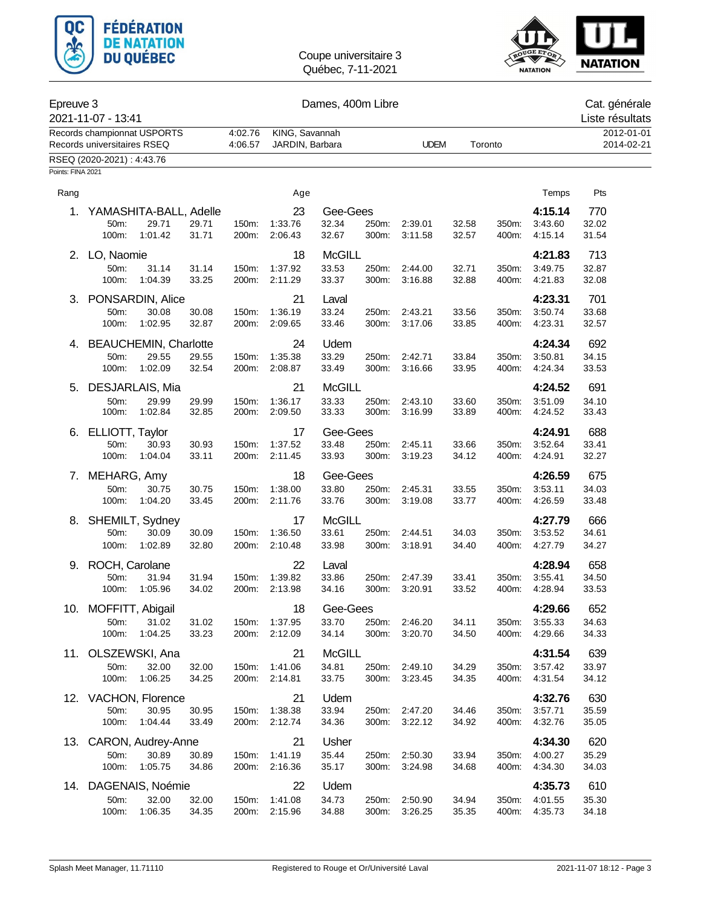



## Epreuve 3 Dames, 400m Libre Cat. générale

| ∟picuvc o         | 2021-11-07 - 13:41                                     |         | טווויטט, דיסטווו בווטו |               |       |               |       |         |                    | Uai. yunulalu<br>Liste résultats |
|-------------------|--------------------------------------------------------|---------|------------------------|---------------|-------|---------------|-------|---------|--------------------|----------------------------------|
|                   | Records championnat USPORTS                            | 4:02.76 | KING, Savannah         |               |       |               |       |         |                    | 2012-01-01                       |
|                   | Records universitaires RSEQ                            | 4:06.57 | JARDIN, Barbara        |               |       | <b>UDEM</b>   |       | Toronto |                    | 2014-02-21                       |
|                   | RSEQ (2020-2021): 4:43.76                              |         |                        |               |       |               |       |         |                    |                                  |
| Points: FINA 2021 |                                                        |         |                        |               |       |               |       |         |                    |                                  |
| Rang              |                                                        |         | Age                    |               |       |               |       |         | Temps              | Pts                              |
|                   | 1. YAMASHITA-BALL, Adelle                              |         | 23                     | Gee-Gees      |       |               |       |         | 4:15.14            | 770                              |
|                   | 29.71<br>50m:<br>29.71                                 | 150m:   | 1:33.76                | 32.34         | 250m: | 2:39.01       | 32.58 | 350m:   | 3:43.60            | 32.02                            |
|                   | 100m:<br>1:01.42<br>31.71                              | 200m:   | 2:06.43                | 32.67         | 300m: | 3:11.58       | 32.57 | 400m:   | 4:15.14            | 31.54                            |
|                   | 2. LO, Naomie                                          |         | 18                     | <b>McGILL</b> |       |               |       |         | 4:21.83            | 713                              |
|                   | 50m:<br>31.14<br>31.14                                 | 150m:   | 1:37.92                | 33.53         | 250m: | 2:44.00       | 32.71 | 350m:   | 3:49.75            | 32.87                            |
|                   | 100m:<br>1:04.39<br>33.25                              | 200m:   | 2:11.29                | 33.37         | 300m: | 3:16.88       | 32.88 | 400m:   | 4:21.83            | 32.08                            |
|                   | 3. PONSARDIN, Alice                                    |         | 21                     | Laval         |       |               |       |         | 4:23.31            | 701                              |
|                   | 30.08<br>50m:<br>30.08                                 | 150m:   | 1:36.19                | 33.24         | 250m: | 2:43.21       | 33.56 | 350m:   | 3:50.74            | 33.68                            |
|                   | 1:02.95<br>100m:<br>32.87                              | 200m:   | 2:09.65                | 33.46         | 300m: | 3:17.06       | 33.85 | 400m:   | 4:23.31            | 32.57                            |
|                   |                                                        |         | 24                     | Udem          |       |               |       |         | 4:24.34            | 692                              |
| 4.                | <b>BEAUCHEMIN, Charlotte</b><br>50m:<br>29.55<br>29.55 | 150m:   | 1:35.38                | 33.29         | 250m: | 2:42.71       | 33.84 | 350m:   | 3:50.81            | 34.15                            |
|                   | 100m:<br>1:02.09<br>32.54                              | 200m:   | 2:08.87                | 33.49         | 300m: | 3:16.66       | 33.95 | 400m:   | 4:24.34            | 33.53                            |
| 5.                | DESJARLAIS, Mia                                        |         | 21                     | <b>McGILL</b> |       |               |       |         | 4:24.52            | 691                              |
|                   | 50m:<br>29.99<br>29.99                                 | 150m:   | 1:36.17                | 33.33         | 250m: | 2:43.10       | 33.60 | 350m:   | 3:51.09            | 34.10                            |
|                   | 100m:<br>1:02.84<br>32.85                              | 200m:   | 2:09.50                | 33.33         | 300m: | 3:16.99       | 33.89 | 400m:   | 4:24.52            | 33.43                            |
| 6.                | ELLIOTT, Taylor                                        |         | 17                     | Gee-Gees      |       |               |       |         | 4:24.91            | 688                              |
|                   | 50m:<br>30.93<br>30.93                                 | 150m:   | 1:37.52                | 33.48         | 250m: | 2:45.11       | 33.66 | 350m:   | 3:52.64            | 33.41                            |
|                   | 100m:<br>1:04.04<br>33.11                              | 200m:   | 2:11.45                | 33.93         | 300m: | 3:19.23       | 34.12 | 400m:   | 4:24.91            | 32.27                            |
| 7.                | MEHARG, Amy                                            |         | 18                     | Gee-Gees      |       |               |       |         | 4:26.59            | 675                              |
|                   | 50m:<br>30.75<br>30.75                                 | 150m:   | 1:38.00                | 33.80         | 250m: | 2:45.31       | 33.55 | 350m:   | 3:53.11            | 34.03                            |
|                   | 100m:<br>1:04.20<br>33.45                              | 200m:   | 2:11.76                | 33.76         | 300m: | 3:19.08       | 33.77 | 400m:   | 4:26.59            | 33.48                            |
|                   | 8. SHEMILT, Sydney                                     |         | 17                     | <b>McGILL</b> |       |               |       |         | 4:27.79            | 666                              |
|                   | 50m:<br>30.09<br>30.09                                 | 150m:   | 1:36.50                | 33.61         | 250m: | 2:44.51       | 34.03 | 350m:   | 3:53.52            | 34.61                            |
|                   | 100m:<br>1:02.89<br>32.80                              | 200m:   | 2:10.48                | 33.98         | 300m: | 3:18.91       | 34.40 | 400m:   | 4:27.79            | 34.27                            |
| 9.                | ROCH, Carolane                                         |         | 22                     | Laval         |       |               |       |         | 4:28.94            | 658                              |
|                   | 31.94<br>50m:<br>31.94                                 | 150m:   | 1:39.82                | 33.86         | 250m: | 2:47.39       | 33.41 | 350m:   | 3:55.41            | 34.50                            |
|                   | 100m:<br>1:05.96<br>34.02                              | 200m:   | 2:13.98                | 34.16         | 300m: | 3:20.91       | 33.52 | 400m:   | 4:28.94            | 33.53                            |
|                   | 10. MOFFITT, Abigail                                   |         | 18                     | Gee-Gees      |       |               |       |         | 4:29.66            | 652                              |
|                   | 31.02<br>$50m$ :<br>31.02                              | 150m:   | 1:37.95                | 33.70         | 250m: | 2:46.20       | 34.11 | 350m:   | 3.55.33            | 34.63                            |
|                   | 33.23<br>100m:<br>1:04.25                              | 200m:   | 2:12.09                | 34.14         | 300m: | 3:20.70       | 34.50 | 400m:   | 4:29.66            | 34.33                            |
|                   | 11. OLSZEWSKI, Ana                                     |         | 21                     | <b>McGILL</b> |       |               |       |         | 4:31.54            | 639                              |
|                   | 50m:<br>32.00<br>32.00                                 | 150m:   | 1:41.06                | 34.81         | 250m: | 2:49.10       | 34.29 | 350m:   | 3:57.42            | 33.97                            |
|                   | 100m:<br>1:06.25<br>34.25                              | 200m:   | 2:14.81                | 33.75         | 300m: | 3:23.45       | 34.35 | 400m:   | 4:31.54            | 34.12                            |
|                   |                                                        |         | 21                     | Udem          |       |               |       |         |                    | 630                              |
|                   | 12. VACHON, Florence<br>50m:<br>30.95<br>30.95         | 150m:   | 1:38.38                | 33.94         |       | 250m: 2:47.20 | 34.46 | 350m:   | 4:32.76<br>3:57.71 | 35.59                            |
|                   | 100m:<br>1:04.44<br>33.49                              | 200m:   | 2:12.74                | 34.36         |       | 300m: 3:22.12 | 34.92 | 400m:   | 4:32.76            | 35.05                            |
| 13.               | CARON, Audrey-Anne                                     |         | 21                     | Usher         |       |               |       |         | 4:34.30            | 620                              |
|                   | 50m:<br>30.89<br>30.89                                 | 150m:   | 1:41.19                | 35.44         | 250m: | 2:50.30       | 33.94 | 350m:   | 4:00.27            | 35.29                            |
|                   | 100m:<br>1:05.75<br>34.86                              | 200m:   | 2:16.36                | 35.17         | 300m: | 3:24.98       | 34.68 | 400m:   | 4:34.30            | 34.03                            |
|                   |                                                        |         |                        |               |       |               |       |         |                    |                                  |
|                   | 14. DAGENAIS, Noémie<br>50m:<br>32.00<br>32.00         | 150m:   | 22<br>1:41.08          | Udem<br>34.73 |       | 250m: 2:50.90 | 34.94 | 350m:   | 4:35.73<br>4:01.55 | 610<br>35.30                     |
|                   | 1:06.35<br>100m:<br>34.35                              | 200m:   | 2:15.96                | 34.88         | 300m: | 3:26.25       | 35.35 | 400m:   | 4:35.73            | 34.18                            |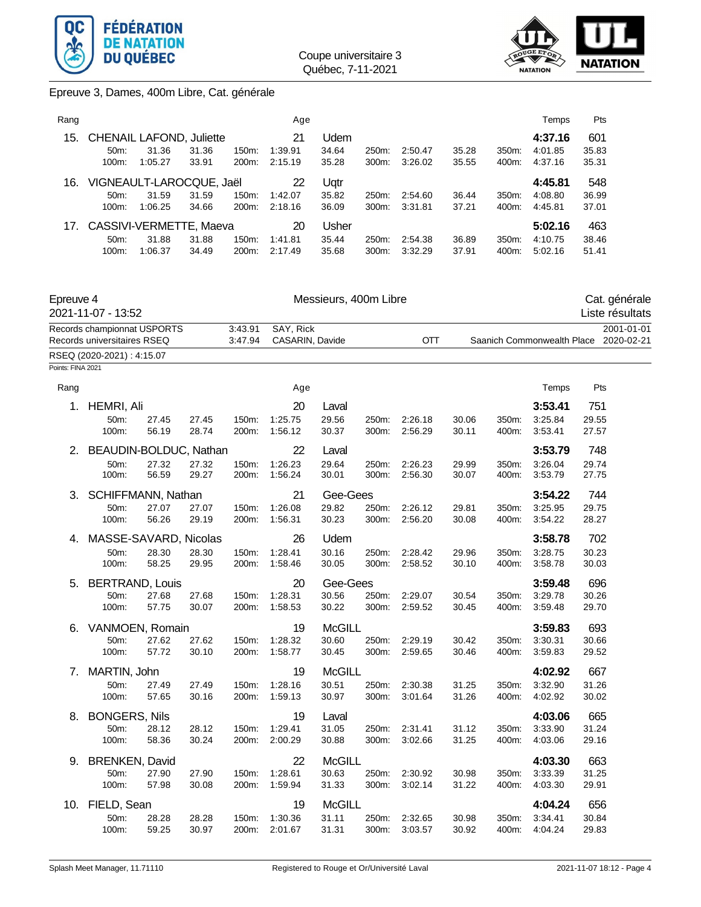



## Epreuve 3, Dames, 400m Libre, Cat. générale

| Rang |                                                        |                  |                |                   | Age                      |                         |                   |                    |                |                   | Temps                         | <b>Pts</b>            |
|------|--------------------------------------------------------|------------------|----------------|-------------------|--------------------------|-------------------------|-------------------|--------------------|----------------|-------------------|-------------------------------|-----------------------|
| 15.  | <b>CHENAIL LAFOND, Juliette</b><br>$50m$ :<br>$100m$ : | 31.36<br>1:05.27 | 31.36<br>33.91 | $150m$ :<br>200m: | 21<br>1:39.91<br>2:15.19 | Udem<br>34.64<br>35.28  | 250m:<br>$300m$ : | 2:50.47<br>3:26.02 | 35.28<br>35.55 | $350m$ :<br>400m: | 4:37.16<br>4:01.85<br>4:37.16 | 601<br>35.83<br>35.31 |
| 16.  | VIGNEAULT-LAROCQUE, Jaël<br>$50m$ :<br>$100m$ :        | 31.59<br>1:06.25 | 31.59<br>34.66 | $150m$ :<br>200m: | 22<br>1:42.07<br>2:18.16 | Uqtr<br>35.82<br>36.09  | 250m:<br>$300m$ : | 2:54.60<br>3:31.81 | 36.44<br>37.21 | 350m:<br>400m:    | 4:45.81<br>4:08.80<br>4:45.81 | 548<br>36.99<br>37.01 |
| 17.  | CASSIVI-VERMETTE, Maeva<br>$50m$ :<br>$100m$ :         | 31.88<br>1:06.37 | 31.88<br>34.49 | $150m$ :<br>200m: | 20<br>1:41.81<br>2:17.49 | Usher<br>35.44<br>35.68 | 250m:<br>$300m$ : | 2:54.38<br>3:32.29 | 36.89<br>37.91 | 350m:<br>400m:    | 5:02.16<br>4:10.75<br>5:02.16 | 463<br>38.46<br>51.41 |

| Epreuve 4         | 2021-11-07 - 13:52                                         |                |                |                    |                              | Messieurs, 400m Libre |                |                    |                |                |                            |                | Cat. générale<br>Liste résultats |
|-------------------|------------------------------------------------------------|----------------|----------------|--------------------|------------------------------|-----------------------|----------------|--------------------|----------------|----------------|----------------------------|----------------|----------------------------------|
|                   | Records championnat USPORTS<br>Records universitaires RSEQ |                |                | 3:43.91<br>3:47.94 | SAY, Rick<br>CASARIN, Davide |                       |                | OTT                |                |                | Saanich Commonwealth Place |                | 2001-01-01<br>2020-02-21         |
|                   | RSEQ (2020-2021): 4:15.07                                  |                |                |                    |                              |                       |                |                    |                |                |                            |                |                                  |
| Points: FINA 2021 |                                                            |                |                |                    |                              |                       |                |                    |                |                |                            |                |                                  |
| Rang              |                                                            |                |                |                    | Age                          |                       |                |                    |                |                | Temps                      | Pts            |                                  |
| 1.                | <b>HEMRI, Ali</b>                                          |                |                |                    | 20                           | Laval                 |                |                    |                |                | 3:53.41                    | 751            |                                  |
|                   | 50m:                                                       | 27.45          | 27.45          | 150m:              | 1:25.75                      | 29.56                 | 250m:          | 2:26.18            | 30.06          | 350m:          | 3:25.84                    | 29.55          |                                  |
|                   | 100m:                                                      | 56.19          | 28.74          | 200m:              | 1:56.12                      | 30.37                 | 300m:          | 2:56.29            | 30.11          | 400m:          | 3:53.41                    | 27.57          |                                  |
| 2.                | BEAUDIN-BOLDUC, Nathan                                     |                |                |                    | 22                           | Laval                 |                |                    |                |                | 3:53.79                    | 748            |                                  |
|                   | 50m:                                                       | 27.32          | 27.32          | 150m:              | 1:26.23                      | 29.64                 | 250m:          | 2:26.23            | 29.99          | 350m:          | 3:26.04                    | 29.74          |                                  |
|                   | 100m:                                                      | 56.59          | 29.27          | 200m:              | 1:56.24                      | 30.01                 | 300m:          | 2:56.30            | 30.07          | 400m:          | 3:53.79                    | 27.75          |                                  |
| 3.                | SCHIFFMANN, Nathan                                         |                |                |                    | 21                           | Gee-Gees              |                |                    |                |                | 3:54.22                    | 744            |                                  |
|                   | 50m:                                                       | 27.07          | 27.07          | 150m:              | 1:26.08                      | 29.82                 | 250m:          | 2:26.12            | 29.81          | 350m:          | 3:25.95                    | 29.75          |                                  |
|                   | 100m:                                                      | 56.26          | 29.19          | 200m:              | 1:56.31                      | 30.23                 | 300m:          | 2:56.20            | 30.08          | 400m:          | 3:54.22                    | 28.27          |                                  |
| 4.                | MASSE-SAVARD, Nicolas                                      |                |                |                    | 26                           | Udem                  |                |                    |                |                | 3:58.78                    | 702            |                                  |
|                   | 50m:<br>100m:                                              | 28.30          | 28.30          | 150m:<br>200m:     | 1:28.41                      | 30.16                 | 250m:          | 2:28.42            | 29.96          | 350m:          | 3:28.75<br>3:58.78         | 30.23          |                                  |
|                   |                                                            | 58.25          | 29.95          |                    | 1:58.46                      | 30.05                 | 300m:          | 2:58.52            | 30.10          | 400m:          |                            | 30.03          |                                  |
| 5.                | <b>BERTRAND, Louis</b>                                     |                |                |                    | 20                           | Gee-Gees              |                |                    |                |                | 3:59.48                    | 696            |                                  |
|                   | 50m:<br>100m:                                              | 27.68<br>57.75 | 27.68<br>30.07 | 150m:<br>200m:     | 1:28.31<br>1:58.53           | 30.56<br>30.22        | 250m:<br>300m: | 2:29.07<br>2:59.52 | 30.54<br>30.45 | 350m:<br>400m: | 3:29.78<br>3:59.48         | 30.26<br>29.70 |                                  |
|                   |                                                            |                |                |                    |                              |                       |                |                    |                |                |                            |                |                                  |
| 6.                | VANMOEN, Romain                                            |                |                |                    | 19                           | <b>McGILL</b>         |                |                    |                |                | 3:59.83                    | 693            |                                  |
|                   | 50m:<br>100m:                                              | 27.62<br>57.72 | 27.62<br>30.10 | 150m:<br>200m:     | 1:28.32<br>1:58.77           | 30.60<br>30.45        | 250m:<br>300m: | 2:29.19<br>2:59.65 | 30.42<br>30.46 | 350m:<br>400m: | 3:30.31<br>3:59.83         | 30.66<br>29.52 |                                  |
|                   |                                                            |                |                |                    |                              |                       |                |                    |                |                |                            |                |                                  |
| 7.                | MARTIN, John                                               |                |                |                    | 19                           | <b>McGILL</b>         |                |                    |                |                | 4:02.92                    | 667            |                                  |
|                   | 50m:<br>100m:                                              | 27.49<br>57.65 | 27.49<br>30.16 | 150m:<br>200m:     | 1:28.16<br>1:59.13           | 30.51<br>30.97        | 250m:<br>300m: | 2:30.38<br>3:01.64 | 31.25<br>31.26 | 350m:<br>400m: | 3:32.90<br>4:02.92         | 31.26<br>30.02 |                                  |
|                   |                                                            |                |                |                    |                              |                       |                |                    |                |                |                            |                |                                  |
| 8.                | <b>BONGERS, Nils</b><br>50m:                               | 28.12          | 28.12          | 150m:              | 19<br>1:29.41                | Laval<br>31.05        | 250m:          | 2:31.41            | 31.12          | 350m:          | 4:03.06<br>3:33.90         | 665<br>31.24   |                                  |
|                   | 100m:                                                      | 58.36          | 30.24          | 200m:              | 2:00.29                      | 30.88                 | 300m:          | 3:02.66            | 31.25          | 400m:          | 4:03.06                    | 29.16          |                                  |
| 9.                | <b>BRENKEN, David</b>                                      |                |                |                    | 22                           | <b>McGILL</b>         |                |                    |                |                | 4:03.30                    | 663            |                                  |
|                   | 50m:                                                       | 27.90          | 27.90          | 150m:              | 1:28.61                      | 30.63                 | 250m:          | 2:30.92            | 30.98          | 350m:          | 3:33.39                    | 31.25          |                                  |
|                   | 100m:                                                      | 57.98          | 30.08          | 200m:              | 1:59.94                      | 31.33                 | 300m:          | 3:02.14            | 31.22          | 400m:          | 4:03.30                    | 29.91          |                                  |
|                   | 10. FIELD, Sean                                            |                |                |                    | 19                           | <b>McGILL</b>         |                |                    |                |                | 4:04.24                    | 656            |                                  |

50m: 28.28 28.28 150m: 1:30.36 31.11 250m: 2:32.65 30.98 350m: 3:34.41 30.84 100m: 59.25 30.97 200m: 2:01.67 31.31 300m: 3:03.57 30.92 400m: 4:04.24 29.83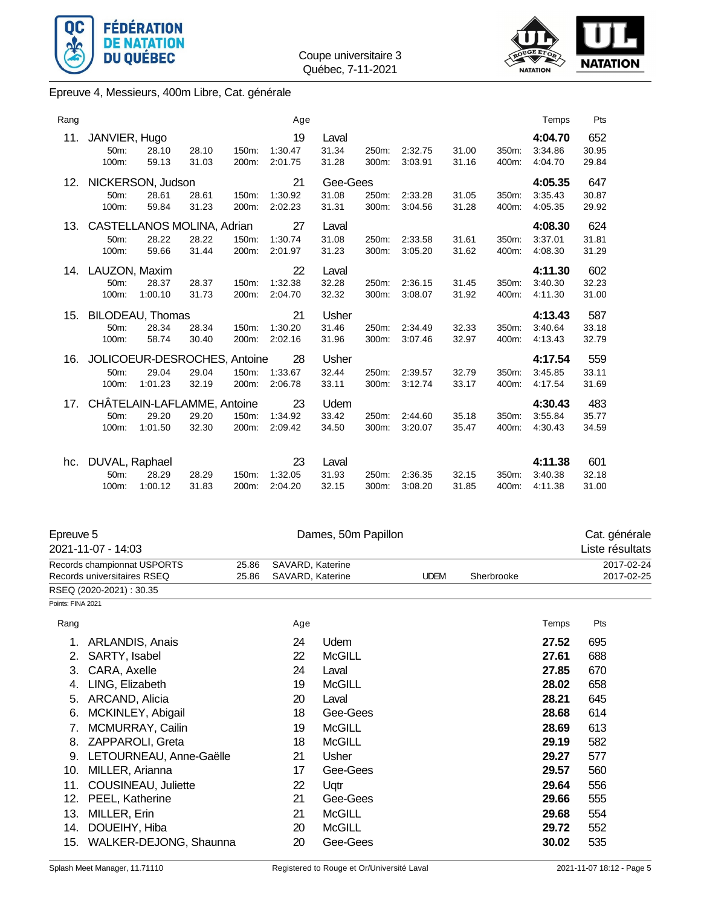



Epreuve 4, Messieurs, 400m Libre, Cat. générale

| Rang |                                               |                  |                |                | Age                      |                            |                |                    |                |                | Temps                         | Pts                   |
|------|-----------------------------------------------|------------------|----------------|----------------|--------------------------|----------------------------|----------------|--------------------|----------------|----------------|-------------------------------|-----------------------|
| 11.  | JANVIER, Hugo<br>$50m$ :<br>$100m$ :          | 28.10<br>59.13   | 28.10<br>31.03 | 150m:<br>200m: | 19<br>1:30.47<br>2:01.75 | Laval<br>31.34<br>31.28    | 250m:<br>300m: | 2:32.75<br>3:03.91 | 31.00<br>31.16 | 350m:<br>400m: | 4:04.70<br>3:34.86<br>4:04.70 | 652<br>30.95<br>29.84 |
| 12.  | NICKERSON, Judson<br>50m:<br>100m:            | 28.61<br>59.84   | 28.61<br>31.23 | 150m:<br>200m: | 21<br>1:30.92<br>2:02.23 | Gee-Gees<br>31.08<br>31.31 | 250m:<br>300m: | 2:33.28<br>3:04.56 | 31.05<br>31.28 | 350m:<br>400m: | 4:05.35<br>3:35.43<br>4:05.35 | 647<br>30.87<br>29.92 |
| 13.  | CASTELLANOS MOLINA, Adrian<br>50m:<br>100m:   | 28.22<br>59.66   | 28.22<br>31.44 | 150m:<br>200m: | 27<br>1:30.74<br>2:01.97 | Laval<br>31.08<br>31.23    | 250m:<br>300m: | 2:33.58<br>3:05.20 | 31.61<br>31.62 | 350m:<br>400m: | 4:08.30<br>3:37.01<br>4:08.30 | 624<br>31.81<br>31.29 |
|      | 14. LAUZON, Maxim<br>50m:<br>100m:            | 28.37<br>1:00.10 | 28.37<br>31.73 | 150m:<br>200m: | 22<br>1:32.38<br>2:04.70 | Laval<br>32.28<br>32.32    | 250m:<br>300m: | 2:36.15<br>3:08.07 | 31.45<br>31.92 | 350m:<br>400m: | 4:11.30<br>3:40.30<br>4:11.30 | 602<br>32.23<br>31.00 |
| 15.  | BILODEAU, Thomas<br>50m:<br>100m:             | 28.34<br>58.74   | 28.34<br>30.40 | 150m:<br>200m: | 21<br>1:30.20<br>2:02.16 | Usher<br>31.46<br>31.96    | 250m:<br>300m: | 2:34.49<br>3:07.46 | 32.33<br>32.97 | 350m:<br>400m: | 4:13.43<br>3:40.64<br>4:13.43 | 587<br>33.18<br>32.79 |
| 16.  | JOLICOEUR-DESROCHES, Antoine<br>50m:<br>100m: | 29.04<br>1:01.23 | 29.04<br>32.19 | 150m:<br>200m: | 28<br>1:33.67<br>2:06.78 | Usher<br>32.44<br>33.11    | 250m:<br>300m: | 2:39.57<br>3:12.74 | 32.79<br>33.17 | 350m:<br>400m: | 4:17.54<br>3:45.85<br>4:17.54 | 559<br>33.11<br>31.69 |
| 17.  | CHÂTELAIN-LAFLAMME, Antoine<br>50m:<br>100m:  | 29.20<br>1:01.50 | 29.20<br>32.30 | 150m:<br>200m: | 23<br>1:34.92<br>2:09.42 | Udem<br>33.42<br>34.50     | 250m:<br>300m: | 2:44.60<br>3:20.07 | 35.18<br>35.47 | 350m:<br>400m: | 4:30.43<br>3:55.84<br>4:30.43 | 483<br>35.77<br>34.59 |
| hc.  | DUVAL, Raphael<br>50m:<br>100m:               | 28.29<br>1:00.12 | 28.29<br>31.83 | 150m:<br>200m: | 23<br>1:32.05<br>2:04.20 | Laval<br>31.93<br>32.15    | 250m:<br>300m: | 2:36.35<br>3:08.20 | 32.15<br>31.85 | 350m:<br>400m: | 4:11.38<br>3:40.38<br>4:11.38 | 601<br>32.18<br>31.00 |

| Epreuve 5         |                             |       |                  | Dames, 50m Papillon |             |            |       | Cat. générale   |
|-------------------|-----------------------------|-------|------------------|---------------------|-------------|------------|-------|-----------------|
|                   | 2021-11-07 - 14:03          |       |                  |                     |             |            |       | Liste résultats |
|                   | Records championnat USPORTS | 25.86 | SAVARD, Katerine |                     |             |            |       | 2017-02-24      |
|                   | Records universitaires RSEQ | 25.86 | SAVARD, Katerine |                     | <b>UDEM</b> | Sherbrooke |       | 2017-02-25      |
|                   | RSEQ (2020-2021): 30.35     |       |                  |                     |             |            |       |                 |
| Points: FINA 2021 |                             |       |                  |                     |             |            |       |                 |
| Rang              |                             |       | Age              |                     |             |            | Temps | Pts             |
| 1.                | <b>ARLANDIS, Anais</b>      |       | 24               | Udem                |             |            | 27.52 | 695             |
| 2.                | SARTY, Isabel               |       | 22               | <b>McGILL</b>       |             |            | 27.61 | 688             |
| 3.                | CARA, Axelle                |       | 24               | Laval               |             |            | 27.85 | 670             |
| 4.                | LING, Elizabeth             |       | 19               | <b>McGILL</b>       |             |            | 28.02 | 658             |
| 5.                | ARCAND, Alicia              |       | 20               | Laval               |             |            | 28.21 | 645             |
| 6.                | MCKINLEY, Abigail           |       | 18               | Gee-Gees            |             |            | 28.68 | 614             |
|                   | MCMURRAY, Cailin            |       | 19               | <b>McGILL</b>       |             |            | 28.69 | 613             |
| 8.                | ZAPPAROLI, Greta            |       | 18               | <b>McGILL</b>       |             |            | 29.19 | 582             |
| 9.                | LETOURNEAU, Anne-Gaëlle     |       | 21               | <b>Usher</b>        |             |            | 29.27 | 577             |
| 10.               | MILLER, Arianna             |       | 17               | Gee-Gees            |             |            | 29.57 | 560             |
| 11.               | COUSINEAU, Juliette         |       | 22               | Uqtr                |             |            | 29.64 | 556             |
| 12.               | PEEL, Katherine             |       | 21               | Gee-Gees            |             |            | 29.66 | 555             |
| 13.               | MILLER, Erin                |       | 21               | <b>McGILL</b>       |             |            | 29.68 | 554             |
| 14.               | DOUEIHY, Hiba               |       | 20               | <b>McGILL</b>       |             |            | 29.72 | 552             |
| 15.               | WALKER-DEJONG, Shaunna      |       | 20               | Gee-Gees            |             |            | 30.02 | 535             |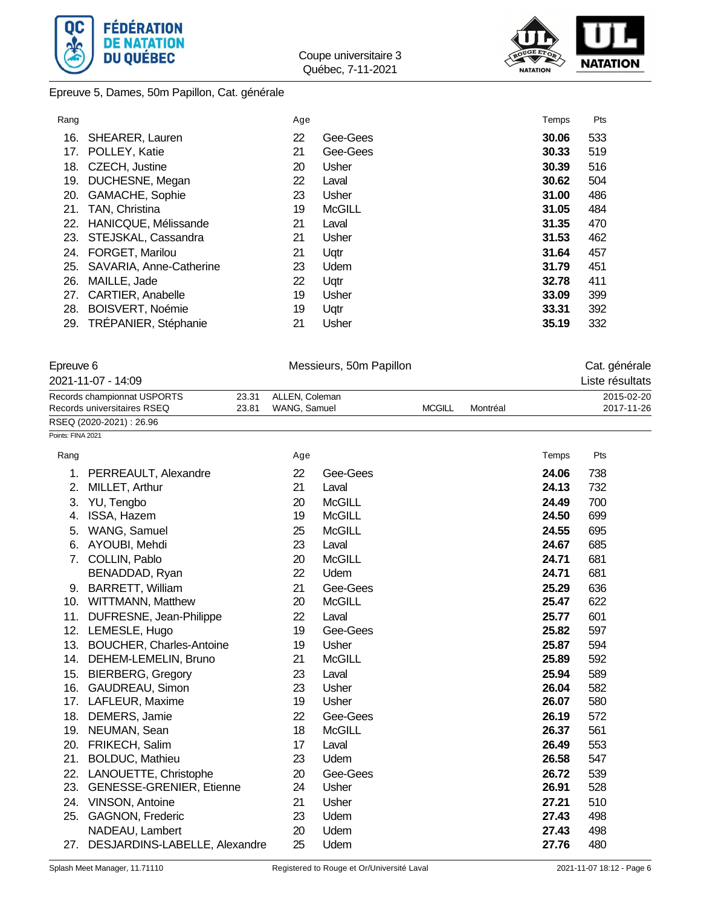



## Epreuve 5, Dames, 50m Papillon, Cat. générale

| Rang |                          | Age |               | Temps | Pts |
|------|--------------------------|-----|---------------|-------|-----|
| 16.  | SHEARER, Lauren          | 22  | Gee-Gees      | 30.06 | 533 |
| 17.  | POLLEY, Katie            | 21  | Gee-Gees      | 30.33 | 519 |
| 18.  | CZECH, Justine           | 20  | Usher         | 30.39 | 516 |
| 19.  | DUCHESNE, Megan          | 22  | Laval         | 30.62 | 504 |
| 20.  | <b>GAMACHE, Sophie</b>   | 23  | Usher         | 31.00 | 486 |
| 21.  | TAN, Christina           | 19  | <b>McGILL</b> | 31.05 | 484 |
| 22.  | HANICQUE, Mélissande     | 21  | Laval         | 31.35 | 470 |
| 23.  | STEJSKAL, Cassandra      | 21  | Usher         | 31.53 | 462 |
| 24.  | <b>FORGET, Marilou</b>   | 21  | Uqtr          | 31.64 | 457 |
| 25.  | SAVARIA, Anne-Catherine  | 23  | Udem          | 31.79 | 451 |
| 26.  | MAILLE, Jade             | 22  | Ugtr          | 32.78 | 411 |
| 27.  | <b>CARTIER, Anabelle</b> | 19  | Usher         | 33.09 | 399 |
| 28.  | BOISVERT, Noémie         | 19  | Uqtr          | 33.31 | 392 |
|      | 29. TRÉPANIER, Stéphanie | 21  | Usher         | 35.19 | 332 |

| Epreuve 6         |                                                            |                |                                | Messieurs, 50m Papillon |               | Cat. générale |       |                          |
|-------------------|------------------------------------------------------------|----------------|--------------------------------|-------------------------|---------------|---------------|-------|--------------------------|
|                   | 2021-11-07 - 14:09                                         |                |                                |                         |               |               |       | Liste résultats          |
|                   | Records championnat USPORTS<br>Records universitaires RSEQ | 23.31<br>23.81 | ALLEN, Coleman<br>WANG, Samuel |                         | <b>MCGILL</b> | Montréal      |       | 2015-02-20<br>2017-11-26 |
|                   | RSEQ (2020-2021): 26.96                                    |                |                                |                         |               |               |       |                          |
| Points: FINA 2021 |                                                            |                |                                |                         |               |               |       |                          |
| Rang              |                                                            |                | Age                            |                         |               |               | Temps | Pts                      |
| 1.                | PERREAULT, Alexandre                                       |                | 22                             | Gee-Gees                |               |               | 24.06 | 738                      |
| 2.                | MILLET, Arthur                                             |                | 21                             | Laval                   |               |               | 24.13 | 732                      |
| 3.                | YU, Tengbo                                                 |                | 20                             | <b>McGILL</b>           |               |               | 24.49 | 700                      |
| 4.                | ISSA, Hazem                                                |                | 19                             | <b>McGILL</b>           |               |               | 24.50 | 699                      |
| 5.                | WANG, Samuel                                               |                | 25                             | <b>McGILL</b>           |               |               | 24.55 | 695                      |
| 6.                | AYOUBI, Mehdi                                              |                | 23                             | Laval                   |               |               | 24.67 | 685                      |
| 7.                | COLLIN, Pablo                                              |                | 20                             | <b>McGILL</b>           |               |               | 24.71 | 681                      |
|                   | BENADDAD, Ryan                                             |                | 22                             | Udem                    |               |               | 24.71 | 681                      |
|                   | 9. BARRETT, William                                        |                | 21                             | Gee-Gees                |               |               | 25.29 | 636                      |
|                   | 10. WITTMANN, Matthew                                      |                | 20                             | <b>McGILL</b>           |               |               | 25.47 | 622                      |
| 11.               | DUFRESNE, Jean-Philippe                                    |                | 22                             | Laval                   |               |               | 25.77 | 601                      |
|                   | 12. LEMESLE, Hugo                                          |                | 19                             | Gee-Gees                |               |               | 25.82 | 597                      |
| 13.               | <b>BOUCHER, Charles-Antoine</b>                            |                | 19                             | Usher                   |               |               | 25.87 | 594                      |
| 14.               | DEHEM-LEMELIN, Bruno                                       |                | 21                             | <b>McGILL</b>           |               |               | 25.89 | 592                      |
| 15.               | <b>BIERBERG, Gregory</b>                                   |                | 23                             | Laval                   |               |               | 25.94 | 589                      |
| 16.               | <b>GAUDREAU, Simon</b>                                     |                | 23                             | <b>Usher</b>            |               |               | 26.04 | 582                      |
| 17.               | LAFLEUR, Maxime                                            |                | 19                             | Usher                   |               |               | 26.07 | 580                      |
| 18.               | DEMERS, Jamie                                              |                | 22                             | Gee-Gees                |               |               | 26.19 | 572                      |
| 19.               | NEUMAN, Sean                                               |                | 18                             | <b>McGILL</b>           |               |               | 26.37 | 561                      |
| 20.               | FRIKECH, Salim                                             |                | 17                             | Laval                   |               |               | 26.49 | 553                      |
| 21.               | <b>BOLDUC, Mathieu</b>                                     |                | 23                             | Udem                    |               |               | 26.58 | 547                      |
| 22.               | LANOUETTE, Christophe                                      |                | 20                             | Gee-Gees                |               |               | 26.72 | 539                      |
| 23.               | <b>GENESSE-GRENIER, Etienne</b>                            |                | 24                             | Usher                   |               |               | 26.91 | 528                      |
| 24.               | <b>VINSON, Antoine</b>                                     |                | 21                             | Usher                   |               |               | 27.21 | 510                      |
| 25.               | GAGNON, Frederic                                           |                | 23                             | Udem                    |               |               | 27.43 | 498                      |

NADEAU, Lambert 20 Udem **27.43** 498 27. DESJARDINS-LABELLE, Alexandre 25 Udem **27.76** 480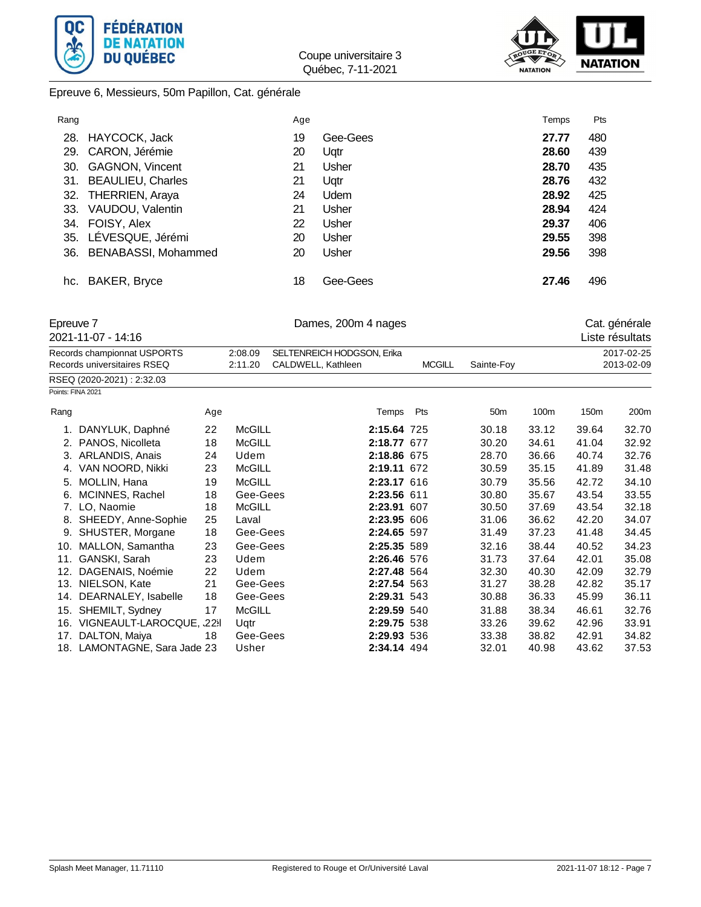



Epreuve 6, Messieurs, 50m Papillon, Cat. générale

| Rang |                         | Age |              | Temps | Pts |
|------|-------------------------|-----|--------------|-------|-----|
| 28.  | HAYCOCK, Jack           | 19  | Gee-Gees     | 27.77 | 480 |
| 29.  | CARON, Jérémie          | 20  | Uqtr         | 28.60 | 439 |
| 30.  | GAGNON, Vincent         | 21  | <b>Usher</b> | 28.70 | 435 |
|      | 31. BEAULIEU, Charles   | 21  | Ugtr         | 28.76 | 432 |
| 32.  | <b>THERRIEN, Araya</b>  | 24  | <b>Udem</b>  | 28.92 | 425 |
| 33.  | VAUDOU, Valentin        | 21  | Usher        | 28.94 | 424 |
| 34.  | FOISY, Alex             | 22  | Usher        | 29.37 | 406 |
|      | 35. LÉVESQUE, Jérémi    | 20  | Usher        | 29.55 | 398 |
|      | 36. BENABASSI, Mohammed | 20  | <b>Usher</b> | 29.56 | 398 |
|      |                         |     |              |       |     |
|      | hc. BAKER, Bryce        | 18  | Gee-Gees     | 27.46 | 496 |

| Epreuve 7 | 2021-11-07 - 14:16                   |     |               | Dames, 200m 4 nages        | Cat. générale<br>Liste résultats |               |                 |       |       |            |
|-----------|--------------------------------------|-----|---------------|----------------------------|----------------------------------|---------------|-----------------|-------|-------|------------|
|           | Records championnat USPORTS          |     | 2:08.09       | SELTENREICH HODGSON, Erika |                                  |               |                 |       |       | 2017-02-25 |
|           | Records universitaires RSEQ          |     | 2:11.20       | CALDWELL, Kathleen         |                                  | <b>MCGILL</b> | Sainte-Foy      |       |       | 2013-02-09 |
|           | RSEQ (2020-2021): 2:32.03            |     |               |                            |                                  |               |                 |       |       |            |
|           | Points: FINA 2021                    |     |               |                            |                                  |               |                 |       |       |            |
| Rang      |                                      | Age |               |                            | Temps                            | Pts           | 50 <sub>m</sub> | 100m  | 150m  | 200m       |
|           | DANYLUK, Daphné                      | 22  | <b>McGILL</b> |                            | 2:15.64 725                      |               | 30.18           | 33.12 | 39.64 | 32.70      |
| 2.        | PANOS, Nicolleta                     | 18  | <b>McGILL</b> |                            | 2:18.77 677                      |               | 30.20           | 34.61 | 41.04 | 32.92      |
| 3.        | ARLANDIS, Anais                      | 24  | Udem          |                            | 2:18.86 675                      |               | 28.70           | 36.66 | 40.74 | 32.76      |
| 4.        | VAN NOORD, Nikki                     | 23  | McGILL        |                            | 2:19.11 672                      |               | 30.59           | 35.15 | 41.89 | 31.48      |
| 5.        | MOLLIN, Hana                         | 19  | <b>McGILL</b> |                            | 2:23.17 616                      |               | 30.79           | 35.56 | 42.72 | 34.10      |
| 6.        | MCINNES, Rachel                      | 18  | Gee-Gees      |                            | 2:23.56 611                      |               | 30.80           | 35.67 | 43.54 | 33.55      |
| 7.        | LO, Naomie                           | 18  | <b>McGILL</b> |                            | 2:23.91 607                      |               | 30.50           | 37.69 | 43.54 | 32.18      |
| 8.        | SHEEDY, Anne-Sophie                  | 25  | Laval         |                            | 2:23.95 606                      |               | 31.06           | 36.62 | 42.20 | 34.07      |
| 9.        | SHUSTER, Morgane                     | 18  | Gee-Gees      |                            | 2:24.65 597                      |               | 31.49           | 37.23 | 41.48 | 34.45      |
| 10.       | MALLON, Samantha                     | 23  | Gee-Gees      |                            | 2:25.35 589                      |               | 32.16           | 38.44 | 40.52 | 34.23      |
| 11.       | GANSKI, Sarah                        | 23  | Udem          |                            | 2:26.46 576                      |               | 31.73           | 37.64 | 42.01 | 35.08      |
| 12.       | DAGENAIS, Noémie                     | 22  | Udem          |                            | 2:27.48 564                      |               | 32.30           | 40.30 | 42.09 | 32.79      |
| 13.       | NIELSON, Kate                        | 21  | Gee-Gees      |                            | 2:27.54 563                      |               | 31.27           | 38.28 | 42.82 | 35.17      |
| 14.       | DEARNALEY, Isabelle                  | 18  | Gee-Gees      |                            | 2:29.31 543                      |               | 30.88           | 36.33 | 45.99 | 36.11      |
| 15.       | SHEMILT, Sydney                      | 17  | <b>McGILL</b> |                            | 2:29.59 540                      |               | 31.88           | 38.34 | 46.61 | 32.76      |
| 16.       | VIGNEAULT-LAROCQUE, <sub>32</sub> 31 |     | Uqtr          |                            | 2:29.75 538                      |               | 33.26           | 39.62 | 42.96 | 33.91      |
| 17.       | DALTON, Maiya                        | 18  | Gee-Gees      |                            | 2:29.93 536                      |               | 33.38           | 38.82 | 42.91 | 34.82      |
|           | 18. LAMONTAGNE, Sara Jade 23         |     | Usher         |                            | 2:34.14 494                      |               | 32.01           | 40.98 | 43.62 | 37.53      |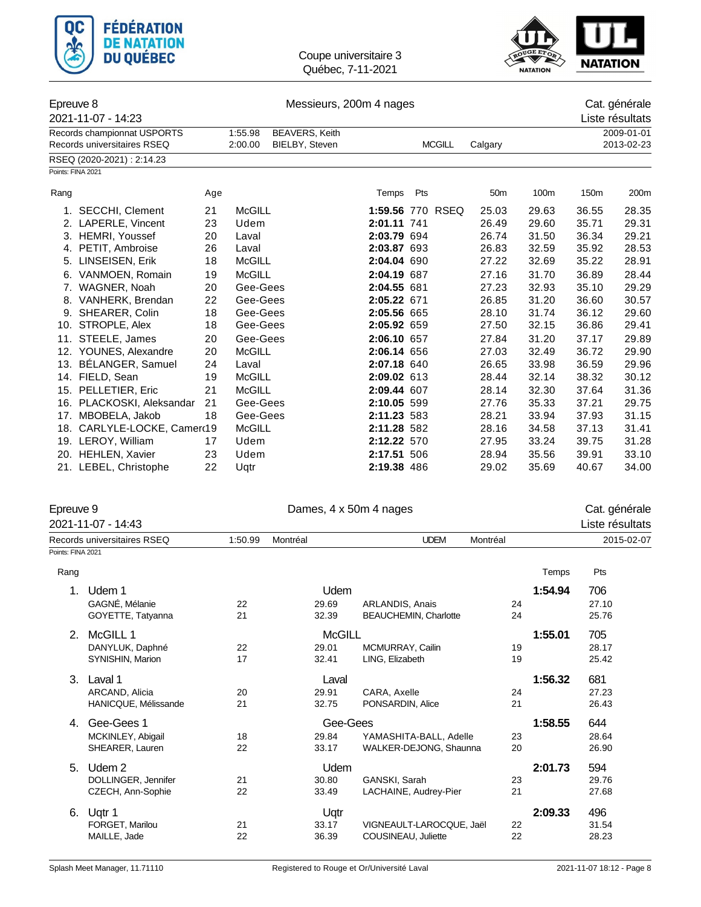



### Epreuve 8 Messieurs, 200m 4 nages Cat. générale

|      | -pioato o                   |     |               |                       |                  | $        -$ |               |                 |            |       |                 |
|------|-----------------------------|-----|---------------|-----------------------|------------------|-------------|---------------|-----------------|------------|-------|-----------------|
|      | 2021-11-07 - 14:23          |     |               |                       |                  |             |               |                 |            |       | Liste résultats |
|      | Records championnat USPORTS |     | 1:55.98       | <b>BEAVERS, Keith</b> |                  |             |               |                 | 2009-01-01 |       |                 |
|      | Records universitaires RSEQ |     | 2:00.00       | BIELBY, Steven        |                  |             | <b>MCGILL</b> | Calgary         |            |       | 2013-02-23      |
|      | RSEQ (2020-2021): 2:14.23   |     |               |                       |                  |             |               |                 |            |       |                 |
|      | Points: FINA 2021           |     |               |                       |                  |             |               |                 |            |       |                 |
| Rang |                             | Age |               |                       | Temps            | Pts         |               | 50 <sub>m</sub> | 100m       | 150m  | 200m            |
|      | 1. SECCHI, Clement          | 21  | <b>McGILL</b> |                       | 1:59.56 770 RSEQ |             |               | 25.03           | 29.63      | 36.55 | 28.35           |
|      | 2. LAPERLE, Vincent         | 23  | Udem          |                       | 2:01.11 741      |             |               | 26.49           | 29.60      | 35.71 | 29.31           |
| 3.   | <b>HEMRI, Youssef</b>       | 20  | Laval         |                       | 2:03.79 694      |             |               | 26.74           | 31.50      | 36.34 | 29.21           |
|      | 4. PETIT, Ambroise          | 26  | Laval         |                       | 2:03.87 693      |             |               | 26.83           | 32.59      | 35.92 | 28.53           |
| 5.   | LINSEISEN, Erik             | 18  | <b>McGILL</b> |                       | 2:04.04 690      |             |               | 27.22           | 32.69      | 35.22 | 28.91           |
| 6.   | VANMOEN, Romain             | 19  | <b>McGILL</b> |                       | 2:04.19 687      |             |               | 27.16           | 31.70      | 36.89 | 28.44           |
|      | 7. WAGNER, Noah             | 20  | Gee-Gees      |                       | 2:04.55 681      |             |               | 27.23           | 32.93      | 35.10 | 29.29           |
|      | 8. VANHERK, Brendan         | 22  | Gee-Gees      |                       | 2:05.22 671      |             |               | 26.85           | 31.20      | 36.60 | 30.57           |
| 9.   | SHEARER, Colin              | 18  | Gee-Gees      |                       | 2:05.56 665      |             |               | 28.10           | 31.74      | 36.12 | 29.60           |
| 10.  | STROPLE, Alex               | 18  | Gee-Gees      |                       | 2:05.92 659      |             |               | 27.50           | 32.15      | 36.86 | 29.41           |
|      | 11. STEELE, James           | 20  | Gee-Gees      |                       | 2:06.10 657      |             |               | 27.84           | 31.20      | 37.17 | 29.89           |
|      | 12. YOUNES, Alexandre       | 20  | <b>McGILL</b> |                       | 2:06.14 656      |             |               | 27.03           | 32.49      | 36.72 | 29.90           |
| 13.  | BÉLANGER, Samuel            | 24  | Laval         |                       | 2:07.18 640      |             |               | 26.65           | 33.98      | 36.59 | 29.96           |
|      | 14. FIELD, Sean             | 19  | <b>McGILL</b> |                       | 2:09.02 613      |             |               | 28.44           | 32.14      | 38.32 | 30.12           |
|      | 15. PELLETIER, Eric         | 21  | <b>McGILL</b> |                       | 2:09.44 607      |             |               | 28.14           | 32.30      | 37.64 | 31.36           |
|      | 16. PLACKOSKI, Aleksandar   | 21  | Gee-Gees      |                       | 2:10.05 599      |             |               | 27.76           | 35.33      | 37.21 | 29.75           |
| 17.  | MBOBELA, Jakob              | 18  | Gee-Gees      |                       | 2:11.23 583      |             |               | 28.21           | 33.94      | 37.93 | 31.15           |
|      | 18. CARLYLE-LOCKE, Camerd19 |     | <b>McGILL</b> |                       | 2:11.28 582      |             |               | 28.16           | 34.58      | 37.13 | 31.41           |
|      | 19. LEROY, William          | 17  | Udem          |                       | 2:12.22 570      |             |               | 27.95           | 33.24      | 39.75 | 31.28           |
|      | 20. HEHLEN, Xavier          | 23  | Udem          |                       | 2:17.51 506      |             |               | 28.94           | 35.56      | 39.91 | 33.10           |
|      | 21. LEBEL, Christophe       | 22  | Ugtr          |                       | 2:19.38 486      |             |               | 29.02           | 35.69      | 40.67 | 34.00           |

| Epreuve 9         | 2021-11-07 - 14:43          |         | Dames, 4 x 50m 4 nages |                              |    |         | Cat. générale<br>Liste résultats |  |
|-------------------|-----------------------------|---------|------------------------|------------------------------|----|---------|----------------------------------|--|
|                   | Records universitaires RSEQ | 1:50.99 | Montréal               | <b>UDEM</b><br>Montréal      |    |         | 2015-02-07                       |  |
| Points: FINA 2021 |                             |         |                        |                              |    |         |                                  |  |
| Rang              |                             |         |                        |                              |    | Temps   | Pts                              |  |
| 1.                | Udem 1                      |         | Udem                   |                              |    | 1:54.94 | 706                              |  |
|                   | GAGNÉ, Mélanie              | 22      | 29.69                  | ARLANDIS, Anais              | 24 |         | 27.10                            |  |
|                   | GOYETTE, Tatyanna           | 21      | 32.39                  | <b>BEAUCHEMIN, Charlotte</b> | 24 |         | 25.76                            |  |
| 2 <sub>1</sub>    | McGILL 1                    |         | <b>McGILL</b>          |                              |    | 1:55.01 | 705                              |  |
|                   | DANYLUK, Daphné             | 22      | 29.01                  | MCMURRAY, Cailin             | 19 |         | 28.17                            |  |
|                   | SYNISHIN, Marion            | 17      | 32.41                  | LING, Elizabeth              | 19 |         | 25.42                            |  |
| 3.                | Laval 1                     |         | Laval                  |                              |    | 1:56.32 | 681                              |  |
|                   | ARCAND, Alicia              | 20      | 29.91                  | CARA, Axelle                 | 24 |         | 27.23                            |  |
|                   | HANICQUE, Mélissande        | 21      | 32.75                  | PONSARDIN, Alice             | 21 |         | 26.43                            |  |
| 4.                | Gee-Gees 1                  |         | Gee-Gees               |                              |    | 1:58.55 | 644                              |  |
|                   | MCKINLEY, Abigail           | 18      | 29.84                  | YAMASHITA-BALL, Adelle       | 23 |         | 28.64                            |  |
|                   | SHEARER, Lauren             | 22      | 33.17                  | WALKER-DEJONG, Shaunna       | 20 |         | 26.90                            |  |
| 5.                | Udem 2                      |         | Udem                   |                              |    | 2:01.73 | 594                              |  |
|                   | DOLLINGER, Jennifer         | 21      | 30.80                  | GANSKI, Sarah                | 23 |         | 29.76                            |  |
|                   | CZECH, Ann-Sophie           | 22      | 33.49                  | LACHAINE, Audrey-Pier        | 21 |         | 27.68                            |  |
| 6.                | Uqtr 1                      |         | Uqtr                   |                              |    | 2:09.33 | 496                              |  |
|                   | FORGET, Marilou             | 21      | 33.17                  | VIGNEAULT-LAROCQUE, Jaël     | 22 |         | 31.54                            |  |
|                   | MAILLE, Jade                | 22      | 36.39                  | COUSINEAU, Juliette          | 22 |         | 28.23                            |  |
|                   |                             |         |                        |                              |    |         |                                  |  |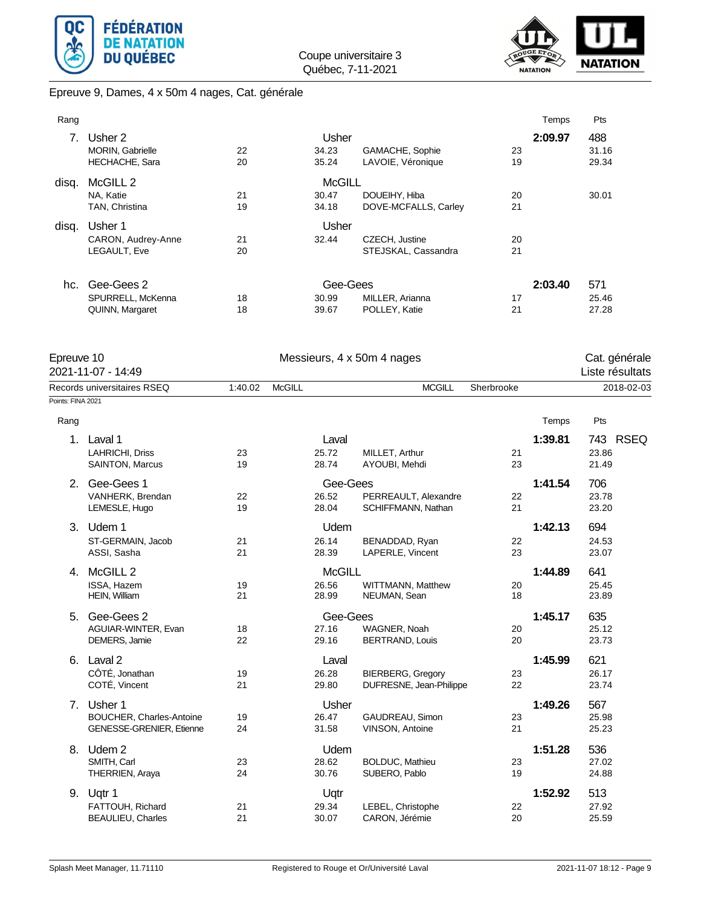



# Epreuve 9, Dames, 4 x 50m 4 nages, Cat. générale

| Rang  |                         |    |               |                      |    | Temps   | Pts   |
|-------|-------------------------|----|---------------|----------------------|----|---------|-------|
|       | Usher 2                 |    | Usher         |                      |    | 2:09.97 | 488   |
|       | <b>MORIN, Gabrielle</b> | 22 | 34.23         | GAMACHE, Sophie      | 23 |         | 31.16 |
|       | <b>HECHACHE, Sara</b>   | 20 | 35.24         | LAVOIE, Véronique    | 19 |         | 29.34 |
| disq. | McGILL <sub>2</sub>     |    | <b>McGILL</b> |                      |    |         |       |
|       | NA. Katie               | 21 | 30.47         | DOUEIHY, Hiba        | 20 |         | 30.01 |
|       | TAN, Christina          | 19 | 34.18         | DOVE-MCFALLS, Carley | 21 |         |       |
| disg. | Usher 1                 |    | Usher         |                      |    |         |       |
|       | CARON, Audrey-Anne      | 21 | 32.44         | CZECH, Justine       | 20 |         |       |
|       | LEGAULT, Eve            | 20 |               | STEJSKAL, Cassandra  | 21 |         |       |
| hc.   | Gee-Gees 2              |    | Gee-Gees      |                      |    | 2:03.40 | 571   |
|       | SPURRELL, McKenna       | 18 | 30.99         | MILLER, Arianna      | 17 |         | 25.46 |
|       | QUINN, Margaret         | 18 | 39.67         | POLLEY, Katie        | 21 |         | 27.28 |

| Epreuve 10        | 2021-11-07 - 14:49              |         |               |                       | Messieurs, 4 x 50m 4 nages |            |         | Cat. générale<br>Liste résultats |
|-------------------|---------------------------------|---------|---------------|-----------------------|----------------------------|------------|---------|----------------------------------|
|                   | Records universitaires RSEQ     | 1:40.02 | <b>McGILL</b> |                       | <b>MCGILL</b>              | Sherbrooke |         | 2018-02-03                       |
| Points: FINA 2021 |                                 |         |               |                       |                            |            |         |                                  |
| Rang              |                                 |         |               |                       |                            |            | Temps   | Pts                              |
| 1 <sub>1</sub>    | Laval 1                         |         |               | Laval                 |                            |            | 1:39.81 | 743 RSEQ                         |
|                   | LAHRICHI, Driss                 | 23      |               | 25.72                 | MILLET, Arthur             | 21         |         | 23.86                            |
|                   | SAINTON, Marcus                 | 19      |               | 28.74                 | AYOUBI, Mehdi              | 23         |         | 21.49                            |
|                   | 2. Gee-Gees 1                   |         |               | Gee-Gees              |                            |            | 1:41.54 | 706                              |
|                   | VANHERK, Brendan                | 22      |               | 26.52                 | PERREAULT, Alexandre       | 22         |         | 23.78                            |
|                   | LEMESLE, Hugo                   | 19      |               | 28.04                 | SCHIFFMANN, Nathan         | 21         |         | 23.20                            |
|                   | 3. Udem 1                       |         |               | Udem                  |                            |            | 1:42.13 | 694                              |
|                   | ST-GERMAIN, Jacob               | 21      |               | 26.14                 | BENADDAD, Ryan             | 22         |         | 24.53                            |
|                   | ASSI, Sasha                     | 21      |               | 28.39                 | LAPERLE, Vincent           | 23         |         | 23.07                            |
| 4.                | McGILL <sub>2</sub>             |         |               | <b>McGILL</b>         |                            |            | 1:44.89 | 641                              |
|                   | ISSA, Hazem                     | 19      |               | 26.56                 | WITTMANN, Matthew          | 20         |         | 25.45                            |
|                   | HEIN, William                   | 21      |               | 28.99                 | NEUMAN, Sean               | 18         |         | 23.89                            |
| 5.                | Gee-Gees 2                      |         |               | Gee-Gees              |                            |            | 1:45.17 | 635                              |
|                   | AGUIAR-WINTER, Evan             | 18      |               | 27.16                 | WAGNER, Noah               | 20         |         | 25.12                            |
|                   | DEMERS, Jamie                   | 22      |               | 29.16                 | BERTRAND, Louis            | 20         |         | 23.73                            |
| 6.                | Laval 2                         |         |               | Laval                 |                            |            | 1:45.99 | 621                              |
|                   | CÔTÉ, Jonathan                  | 19      |               | 26.28                 | <b>BIERBERG, Gregory</b>   | 23         |         | 26.17                            |
|                   | COTÉ, Vincent                   | 21      |               | 29.80                 | DUFRESNE, Jean-Philippe    | 22         |         | 23.74                            |
| 7 <sup>1</sup>    | Usher 1                         |         |               |                       |                            |            |         | 567                              |
|                   | <b>BOUCHER, Charles-Antoine</b> | 19      |               | <b>Usher</b><br>26.47 | GAUDREAU, Simon            | 23         | 1:49.26 | 25.98                            |
|                   | <b>GENESSE-GRENIER, Etienne</b> | 24      |               | 31.58                 | VINSON, Antoine            | 21         |         | 25.23                            |
|                   |                                 |         |               |                       |                            |            |         |                                  |
| 8.                | Udem 2                          |         |               | Udem                  |                            |            | 1:51.28 | 536                              |
|                   | SMITH, Carl                     | 23      |               | 28.62                 | <b>BOLDUC, Mathieu</b>     | 23         |         | 27.02                            |
|                   | THERRIEN, Araya                 | 24      |               | 30.76                 | SUBERO, Pablo              | 19         |         | 24.88                            |
|                   | 9. Uqtr 1                       |         |               | Uqtr                  |                            |            | 1:52.92 | 513                              |
|                   | FATTOUH, Richard                | 21      |               | 29.34                 | LEBEL, Christophe          | 22         |         | 27.92                            |
|                   | <b>BEAULIEU, Charles</b>        | 21      |               | 30.07                 | CARON, Jérémie             | 20         |         | 25.59                            |
|                   |                                 |         |               |                       |                            |            |         |                                  |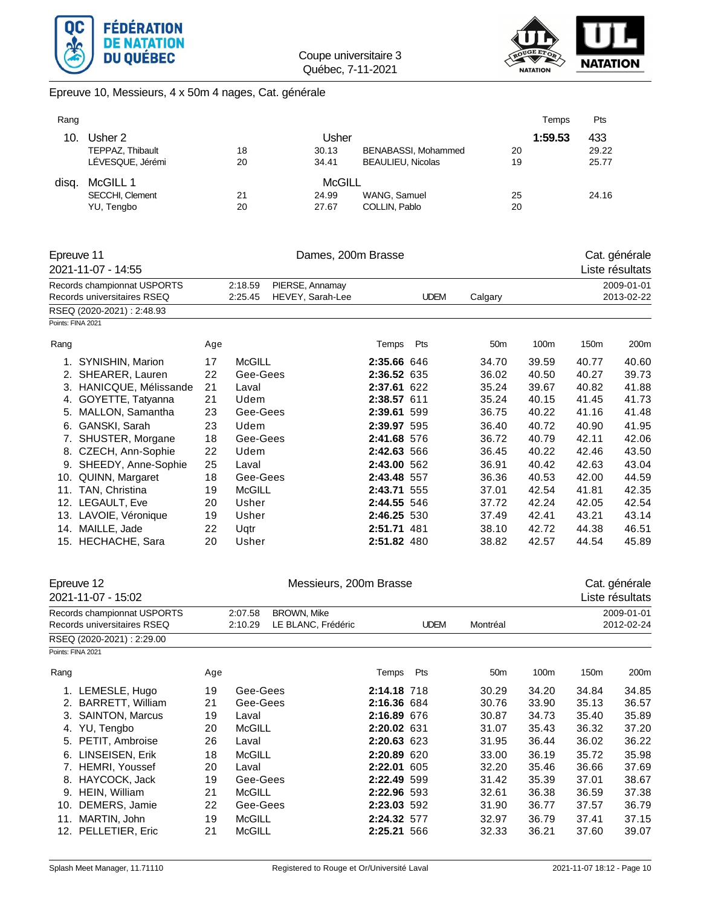



Epreuve 10, Messieurs, 4 x 50m 4 nages, Cat. générale

| Rang |                  |    |        |                          | Temps   | Pts   |
|------|------------------|----|--------|--------------------------|---------|-------|
| 10.  | Usher 2          |    | Usher  |                          | 1:59.53 | 433   |
|      | TEPPAZ, Thibault | 18 | 30.13  | BENABASSI, Mohammed      | 20      | 29.22 |
|      | LÉVESQUE, Jérémi | 20 | 34.41  | <b>BEAULIEU, Nicolas</b> | 19      | 25.77 |
| disa | McGILL 1         |    | McGILL |                          |         |       |
|      | SECCHI, Clement  | 21 | 24.99  | WANG, Samuel             | 25      | 24.16 |
|      | YU, Tengbo       | 20 | 27.67  | COLLIN, Pablo            | 20      |       |

|      | Epreuve 11                  |     | Dames, 200m Brasse         | Cat. générale    |             |             |                 |       |       |                 |
|------|-----------------------------|-----|----------------------------|------------------|-------------|-------------|-----------------|-------|-------|-----------------|
|      | 2021-11-07 - 14:55          |     |                            |                  |             |             |                 |       |       | Liste résultats |
|      | Records championnat USPORTS |     | PIERSE, Annamay<br>2:18.59 |                  |             |             |                 |       |       | 2009-01-01      |
|      | Records universitaires RSEQ |     | 2:25.45                    | HEVEY, Sarah-Lee |             | <b>UDEM</b> | Calgary         |       |       | 2013-02-22      |
|      | RSEQ (2020-2021): 2:48.93   |     |                            |                  |             |             |                 |       |       |                 |
|      | Points: FINA 2021           |     |                            |                  |             |             |                 |       |       |                 |
| Rang |                             | Age |                            |                  | Temps       | Pts         | 50 <sub>m</sub> | 100m  | 150m  | 200m            |
| 1.   | SYNISHIN, Marion            | 17  | <b>McGILL</b>              |                  | 2:35.66 646 |             | 34.70           | 39.59 | 40.77 | 40.60           |
|      | 2. SHEARER, Lauren          | 22  | Gee-Gees                   |                  | 2:36.52 635 |             | 36.02           | 40.50 | 40.27 | 39.73           |
| 3.   | HANICQUE, Mélissande        | 21  | Laval                      |                  | 2:37.61     | 622         | 35.24           | 39.67 | 40.82 | 41.88           |
| 4.   | GOYETTE, Tatyanna           | 21  | Udem                       |                  | 2:38.57 611 |             | 35.24           | 40.15 | 41.45 | 41.73           |
| 5.   | MALLON, Samantha            | 23  | Gee-Gees                   |                  | 2:39.61 599 |             | 36.75           | 40.22 | 41.16 | 41.48           |
| 6.   | GANSKI, Sarah               | 23  | Udem                       |                  | 2:39.97 595 |             | 36.40           | 40.72 | 40.90 | 41.95           |
| 7.   | SHUSTER, Morgane            | 18  | Gee-Gees                   |                  | 2:41.68 576 |             | 36.72           | 40.79 | 42.11 | 42.06           |
| 8.   | CZECH, Ann-Sophie           | 22  | Udem                       |                  | 2:42.63 566 |             | 36.45           | 40.22 | 42.46 | 43.50           |
| 9.   | SHEEDY, Anne-Sophie         | 25  | Laval                      |                  | 2:43.00 562 |             | 36.91           | 40.42 | 42.63 | 43.04           |
| 10.  | QUINN, Margaret             | 18  | Gee-Gees                   |                  | 2:43.48 557 |             | 36.36           | 40.53 | 42.00 | 44.59           |
| 11.  | TAN, Christina              | 19  | <b>McGILL</b>              |                  | 2:43.71     | 555         | 37.01           | 42.54 | 41.81 | 42.35           |
| 12.  | LEGAULT, Eve                | 20  | Usher                      |                  | 2:44.55 546 |             | 37.72           | 42.24 | 42.05 | 42.54           |
| 13.  | LAVOIE, Véronique           | 19  | Usher                      |                  | 2:46.25 530 |             | 37.49           | 42.41 | 43.21 | 43.14           |
| 14.  | MAILLE, Jade                | 22  | Uqtr                       |                  | 2:51.71 481 |             | 38.10           | 42.72 | 44.38 | 46.51           |
|      | 15. HECHACHE, Sara          | 20  | Usher                      |                  | 2:51.82 480 |             | 38.82           | 42.57 | 44.54 | 45.89           |

|                   | Epreuve 12<br>2021-11-07 - 15:02 |     |               | Messieurs, 200m Brasse |             |             |                 |       |       | Cat. générale<br>Liste résultats |
|-------------------|----------------------------------|-----|---------------|------------------------|-------------|-------------|-----------------|-------|-------|----------------------------------|
|                   | Records championnat USPORTS      |     | 2:07.58       | <b>BROWN, Mike</b>     |             |             |                 |       |       | 2009-01-01                       |
|                   | Records universitaires RSEQ      |     | 2:10.29       | LE BLANC, Frédéric     |             | <b>UDEM</b> | Montréal        |       |       | 2012-02-24                       |
|                   | RSEQ (2020-2021): 2:29.00        |     |               |                        |             |             |                 |       |       |                                  |
| Points: FINA 2021 |                                  |     |               |                        |             |             |                 |       |       |                                  |
| Rang              |                                  | Age |               |                        | Temps       | Pts         | 50 <sub>m</sub> | 100m  | 150m  | 200m                             |
|                   | 1. LEMESLE, Hugo                 | 19  | Gee-Gees      |                        | 2:14.18 718 |             | 30.29           | 34.20 | 34.84 | 34.85                            |
| 2.                | <b>BARRETT, William</b>          | 21  | Gee-Gees      |                        | 2:16.36 684 |             | 30.76           | 33.90 | 35.13 | 36.57                            |
| 3.                | <b>SAINTON, Marcus</b>           | 19  | Laval         |                        | 2:16.89 676 |             | 30.87           | 34.73 | 35.40 | 35.89                            |
| 4.                | YU, Tengbo                       | 20  | <b>McGILL</b> |                        | 2:20.02 631 |             | 31.07           | 35.43 | 36.32 | 37.20                            |
| 5.                | PETIT, Ambroise                  | 26  | Laval         |                        | 2:20.63 623 |             | 31.95           | 36.44 | 36.02 | 36.22                            |
| 6.                | LINSEISEN, Erik                  | 18  | <b>McGILL</b> |                        | 2:20.89 620 |             | 33.00           | 36.19 | 35.72 | 35.98                            |
| 7.                | <b>HEMRI, Youssef</b>            | 20  | Laval         |                        | 2:22.01     | 605         | 32.20           | 35.46 | 36.66 | 37.69                            |
| 8.                | HAYCOCK, Jack                    | 19  | Gee-Gees      |                        | 2:22.49 599 |             | 31.42           | 35.39 | 37.01 | 38.67                            |
| 9.                | HEIN, William                    | 21  | <b>McGILL</b> |                        | 2:22.96 593 |             | 32.61           | 36.38 | 36.59 | 37.38                            |
| 10.               | DEMERS, Jamie                    | 22  | Gee-Gees      |                        | 2:23.03 592 |             | 31.90           | 36.77 | 37.57 | 36.79                            |
| 11.               | MARTIN, John                     | 19  | <b>McGILL</b> |                        | 2:24.32 577 |             | 32.97           | 36.79 | 37.41 | 37.15                            |
|                   | 12. PELLETIER, Eric              | 21  | <b>McGILL</b> |                        | 2:25.21 566 |             | 32.33           | 36.21 | 37.60 | 39.07                            |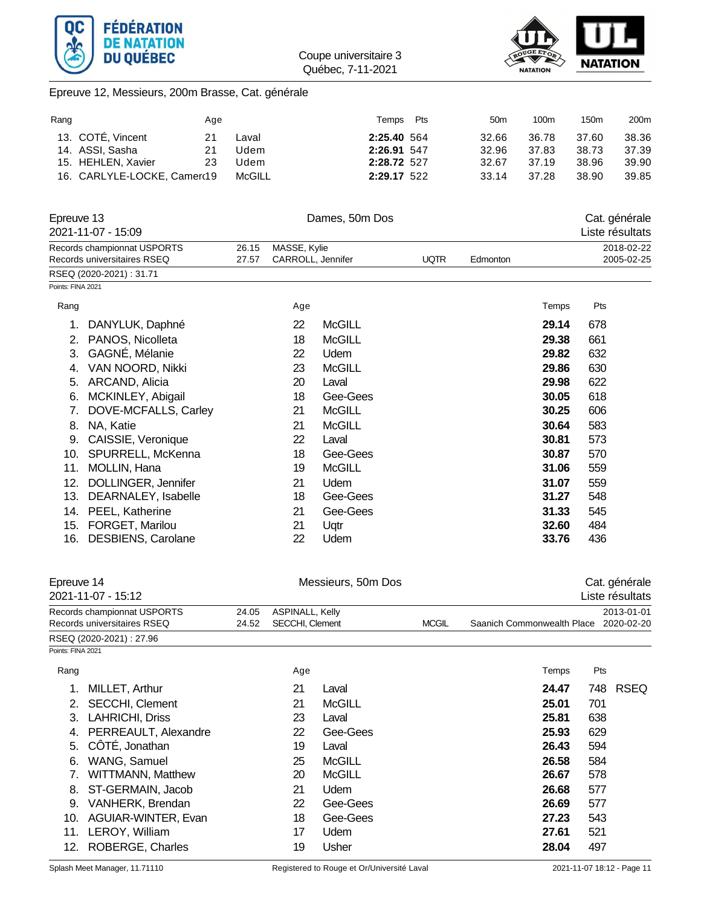



## Epreuve 12, Messieurs, 200m Brasse, Cat. générale

| Rang              |                                                            | Age |                |                                   |                | Temps       | Pts         | 50 <sub>m</sub> | 100m  | 150m  | 200m                     |
|-------------------|------------------------------------------------------------|-----|----------------|-----------------------------------|----------------|-------------|-------------|-----------------|-------|-------|--------------------------|
|                   | 13. COTÉ, Vincent                                          | 21  | Laval          |                                   |                | 2:25.40 564 |             | 32.66           | 36.78 | 37.60 | 38.36                    |
|                   | 14. ASSI, Sasha                                            | 21  | Udem           |                                   |                | 2:26.91 547 |             | 32.96           | 37.83 | 38.73 | 37.39                    |
|                   | 15. HEHLEN, Xavier                                         | 23  | Udem           |                                   |                | 2:28.72 527 |             | 32.67           | 37.19 | 38.96 | 39.90                    |
|                   | 16. CARLYLE-LOCKE, Camerd19                                |     | <b>McGILL</b>  |                                   |                | 2:29.17 522 |             | 33.14           | 37.28 | 38.90 | 39.85                    |
| Epreuve 13        |                                                            |     |                |                                   | Dames, 50m Dos |             |             |                 |       |       | Cat. générale            |
|                   | 2021-11-07 - 15:09                                         |     |                |                                   |                |             |             |                 |       |       | Liste résultats          |
|                   | Records championnat USPORTS<br>Records universitaires RSEQ |     | 26.15<br>27.57 | MASSE, Kylie<br>CARROLL, Jennifer |                |             | <b>UQTR</b> | Edmonton        |       |       | 2018-02-22<br>2005-02-25 |
|                   | RSEQ (2020-2021): 31.71                                    |     |                |                                   |                |             |             |                 |       |       |                          |
| Points: FINA 2021 |                                                            |     |                |                                   |                |             |             |                 |       |       |                          |
| Rang              |                                                            |     |                | Age                               |                |             |             |                 | Temps | Pts   |                          |
| 1.                | DANYLUK, Daphné                                            |     |                | 22                                | <b>McGILL</b>  |             |             |                 | 29.14 | 678   |                          |
| 2.                | PANOS, Nicolleta                                           |     |                | 18                                | <b>McGILL</b>  |             |             |                 | 29.38 | 661   |                          |
| 3.                | GAGNÉ, Mélanie                                             |     |                | 22                                | Udem           |             |             |                 | 29.82 | 632   |                          |
| 4.                | VAN NOORD, Nikki                                           |     |                | 23                                | <b>McGILL</b>  |             |             |                 | 29.86 | 630   |                          |
| 5.                | ARCAND, Alicia                                             |     |                | 20                                | Laval          |             |             |                 | 29.98 | 622   |                          |
| 6.                | MCKINLEY, Abigail                                          |     |                | 18                                | Gee-Gees       |             |             |                 | 30.05 | 618   |                          |
| 7.                | DOVE-MCFALLS, Carley                                       |     |                | 21                                | <b>McGILL</b>  |             |             |                 | 30.25 | 606   |                          |
| 8.                | NA, Katie                                                  |     |                | 21                                | <b>McGILL</b>  |             |             |                 | 30.64 | 583   |                          |
| 9.                | CAISSIE, Veronique                                         |     |                | 22                                | Laval          |             |             |                 | 30.81 | 573   |                          |
| 10.               | SPURRELL, McKenna                                          |     |                | 18                                | Gee-Gees       |             |             |                 | 30.87 | 570   |                          |
| 11.               | MOLLIN, Hana                                               |     |                | 19                                | <b>McGILL</b>  |             |             |                 | 31.06 | 559   |                          |
| 12.               | DOLLINGER, Jennifer                                        |     |                | 21                                | Udem           |             |             |                 | 31.07 | 559   |                          |
| 13.               | DEARNALEY, Isabelle                                        |     |                | 18                                | Gee-Gees       |             |             |                 | 31.27 | 548   |                          |
|                   | 14. PEEL, Katherine                                        |     |                | 21                                | Gee-Gees       |             |             |                 | 31.33 | 545   |                          |
| 15.               | FORGET, Marilou                                            |     |                | 21                                | Uqtr           |             |             |                 | 32.60 | 484   |                          |
| 16.               | <b>DESBIENS, Carolane</b>                                  |     |                | 22                                | Udem           |             |             |                 | 33.76 | 436   |                          |

|                   | Epreuve 14<br>2021-11-07 - 15:12                           |                | Messieurs, 50m Dos                                        |               |                            |       |                          | Cat. générale<br>Liste résultats |
|-------------------|------------------------------------------------------------|----------------|-----------------------------------------------------------|---------------|----------------------------|-------|--------------------------|----------------------------------|
|                   | Records championnat USPORTS<br>Records universitaires RSEQ | 24.05<br>24.52 | ASPINALL, Kelly<br><b>SECCHI, Clement</b><br><b>MCGIL</b> |               | Saanich Commonwealth Place |       | 2013-01-01<br>2020-02-20 |                                  |
|                   | RSEQ (2020-2021): 27.96                                    |                |                                                           |               |                            |       |                          |                                  |
| Points: FINA 2021 |                                                            |                |                                                           |               |                            |       |                          |                                  |
| Rang              |                                                            |                | Age                                                       |               |                            | Temps | Pts                      |                                  |
| 1.                | MILLET, Arthur                                             |                | 21                                                        | Laval         |                            | 24.47 | 748                      | <b>RSEQ</b>                      |
| 2.                | <b>SECCHI, Clement</b>                                     |                | 21                                                        | <b>McGILL</b> |                            | 25.01 | 701                      |                                  |
| 3.                | LAHRICHI, Driss                                            |                | 23                                                        | Laval         |                            | 25.81 | 638                      |                                  |
| 4.                | PERREAULT, Alexandre                                       |                | 22                                                        | Gee-Gees      |                            | 25.93 | 629                      |                                  |
| 5.                | CÔTÉ, Jonathan                                             |                | 19                                                        | Laval         |                            | 26.43 | 594                      |                                  |
| 6.                | WANG, Samuel                                               |                | 25                                                        | <b>McGILL</b> |                            | 26.58 | 584                      |                                  |
| 7.                | <b>WITTMANN, Matthew</b>                                   |                | 20                                                        | McGILL        |                            | 26.67 | 578                      |                                  |
| 8.                | ST-GERMAIN, Jacob                                          |                | 21                                                        | <b>Udem</b>   |                            | 26.68 | 577                      |                                  |
| 9.                | VANHERK, Brendan                                           |                | 22                                                        | Gee-Gees      |                            | 26.69 | 577                      |                                  |
| 10.               | AGUIAR-WINTER, Evan                                        |                | 18                                                        | Gee-Gees      |                            | 27.23 | 543                      |                                  |
| 11.               | LEROY, William                                             |                | 17                                                        | Udem          |                            | 27.61 | 521                      |                                  |
| 12.               | ROBERGE, Charles                                           |                | 19                                                        | Usher         |                            | 28.04 | 497                      |                                  |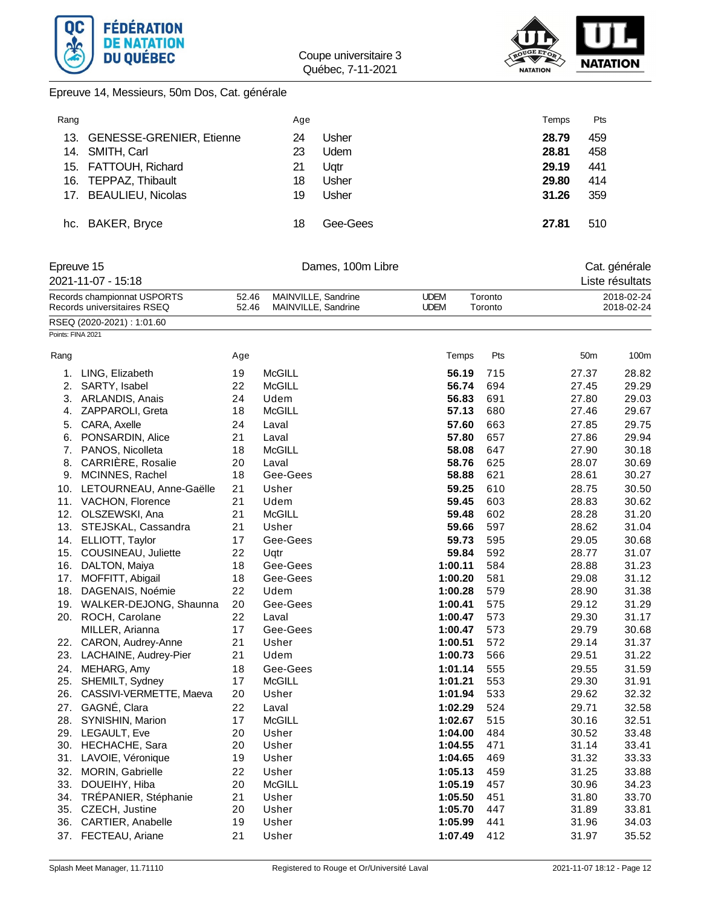



Epreuve 14, Messieurs, 50m Dos, Cat. générale

| Rang |                              | Age |             | Temps | Pts |
|------|------------------------------|-----|-------------|-------|-----|
|      | 13. GENESSE-GRENIER, Etienne | 24  | Usher       | 28.79 | 459 |
|      | 14. SMITH, Carl              | 23  | <b>Udem</b> | 28.81 | 458 |
|      | 15. FATTOUH, Richard         | 21  | Ugtr        | 29.19 | 441 |
|      | 16. TEPPAZ, Thibault         | 18  | Usher       | 29.80 | 414 |
|      | 17. BEAULIEU, Nicolas        | 19  | Usher       | 31.26 | 359 |
|      |                              |     |             |       |     |
|      | hc. BAKER, Bryce             | 18  | Gee-Gees    | 27.81 | 510 |

## Epreuve 15 Cat. générale 2021-11-07 - 15:18 Liste résultats

|      | Records championnat USPORTS<br>Records universitaires RSEQ |     | 52.46<br>MAINVILLE, Sandrine<br>52.46<br>MAINVILLE, Sandrine | <b>UDEM</b><br><b>UDEM</b> | Toronto<br>Toronto |                 | 2018-02-24<br>2018-02-24 |  |
|------|------------------------------------------------------------|-----|--------------------------------------------------------------|----------------------------|--------------------|-----------------|--------------------------|--|
|      | RSEQ (2020-2021): 1:01.60                                  |     |                                                              |                            |                    |                 |                          |  |
|      | Points: FINA 2021                                          |     |                                                              |                            |                    |                 |                          |  |
| Rang |                                                            | Age |                                                              | Temps                      | Pts                | 50 <sub>m</sub> | 100m                     |  |
| 1.   | LING, Elizabeth                                            | 19  | <b>McGILL</b>                                                | 56.19                      | 715                | 27.37           | 28.82                    |  |
| 2.   | SARTY, Isabel                                              | 22  | <b>McGILL</b>                                                | 56.74                      | 694                | 27.45           | 29.29                    |  |
| 3.   | ARLANDIS, Anais                                            | 24  | Udem                                                         | 56.83                      | 691                | 27.80           | 29.03                    |  |
| 4.   | ZAPPAROLI, Greta                                           | 18  | <b>McGILL</b>                                                | 57.13                      | 680                | 27.46           | 29.67                    |  |
| 5.   | CARA, Axelle                                               | 24  | Laval                                                        | 57.60                      | 663                | 27.85           | 29.75                    |  |
| 6.   | PONSARDIN, Alice                                           | 21  | Laval                                                        | 57.80                      | 657                | 27.86           | 29.94                    |  |
|      | 7. PANOS, Nicolleta                                        | 18  | <b>McGILL</b>                                                | 58.08                      | 647                | 27.90           | 30.18                    |  |
| 8.   | CARRIÈRE, Rosalie                                          | 20  | Laval                                                        | 58.76                      | 625                | 28.07           | 30.69                    |  |
|      | 9. MCINNES, Rachel                                         | 18  | Gee-Gees                                                     | 58.88                      | 621                | 28.61           | 30.27                    |  |
|      | 10. LETOURNEAU, Anne-Gaëlle                                | 21  | Usher                                                        | 59.25                      | 610                | 28.75           | 30.50                    |  |
|      | 11. VACHON, Florence                                       | 21  | Udem                                                         | 59.45                      | 603                | 28.83           | 30.62                    |  |
|      | 12. OLSZEWSKI, Ana                                         | 21  | <b>McGILL</b>                                                | 59.48                      | 602                | 28.28           | 31.20                    |  |
|      | 13. STEJSKAL, Cassandra                                    | 21  | Usher                                                        | 59.66                      | 597                | 28.62           | 31.04                    |  |
|      | 14. ELLIOTT, Taylor                                        | 17  | Gee-Gees                                                     | 59.73                      | 595                | 29.05           | 30.68                    |  |
|      | 15. COUSINEAU, Juliette                                    | 22  | Uqtr                                                         | 59.84                      | 592                | 28.77           | 31.07                    |  |
|      | 16. DALTON, Maiya                                          | 18  | Gee-Gees                                                     | 1:00.11                    | 584                | 28.88           | 31.23                    |  |
|      | 17. MOFFITT, Abigail                                       | 18  | Gee-Gees                                                     | 1:00.20                    | 581                | 29.08           | 31.12                    |  |
|      | 18. DAGENAIS, Noémie                                       | 22  | Udem                                                         | 1:00.28                    | 579                | 28.90           | 31.38                    |  |
|      | 19. WALKER-DEJONG, Shaunna                                 | 20  | Gee-Gees                                                     | 1:00.41                    | 575                | 29.12           | 31.29                    |  |
|      | 20. ROCH, Carolane                                         | 22  | Laval                                                        | 1:00.47                    | 573                | 29.30           | 31.17                    |  |
|      | MILLER, Arianna                                            | 17  | Gee-Gees                                                     | 1:00.47                    | 573                | 29.79           | 30.68                    |  |
|      | 22. CARON, Audrey-Anne                                     | 21  | Usher                                                        | 1:00.51                    | 572                | 29.14           | 31.37                    |  |
|      | 23. LACHAINE, Audrey-Pier                                  | 21  | Udem                                                         | 1:00.73                    | 566                | 29.51           | 31.22                    |  |
|      | 24. MEHARG, Amy                                            | 18  | Gee-Gees                                                     | 1:01.14                    | 555                | 29.55           | 31.59                    |  |
|      | 25. SHEMILT, Sydney                                        | 17  | <b>McGILL</b>                                                | 1:01.21                    | 553                | 29.30           | 31.91                    |  |
| 26.  | CASSIVI-VERMETTE, Maeva                                    | 20  | Usher                                                        | 1:01.94                    | 533                | 29.62           | 32.32                    |  |
|      | 27. GAGNÉ, Clara                                           | 22  | Laval                                                        | 1:02.29                    | 524                | 29.71           | 32.58                    |  |
|      | 28. SYNISHIN, Marion                                       | 17  | <b>McGILL</b>                                                | 1:02.67                    | 515                | 30.16           | 32.51                    |  |
|      | 29. LEGAULT, Eve                                           | 20  | Usher                                                        | 1:04.00                    | 484                | 30.52           | 33.48                    |  |
|      | 30. HECHACHE, Sara                                         | 20  | Usher                                                        | 1:04.55                    | 471                | 31.14           | 33.41                    |  |
|      | 31. LAVOIE, Véronique                                      | 19  | Usher                                                        | 1:04.65                    | 469                | 31.32           | 33.33                    |  |
| 32.  | MORIN, Gabrielle                                           | 22  | Usher                                                        | 1:05.13                    | 459                | 31.25           | 33.88                    |  |
| 33.  | DOUEIHY, Hiba                                              | 20  | <b>McGILL</b>                                                | 1:05.19                    | 457                | 30.96           | 34.23                    |  |

34. TRÉPANIER, Stéphanie 21 Usher **1:05.50** 451 31.80 33.70 35. CZECH, Justine 20 Usher **1:05.70** 447 31.89 33.81 36. CARTIER, Anabelle 19 Usher **1:05.99** 441 31.96 34.03 37. FECTEAU, Ariane 21 Usher **1:07.49** 412 31.97 35.52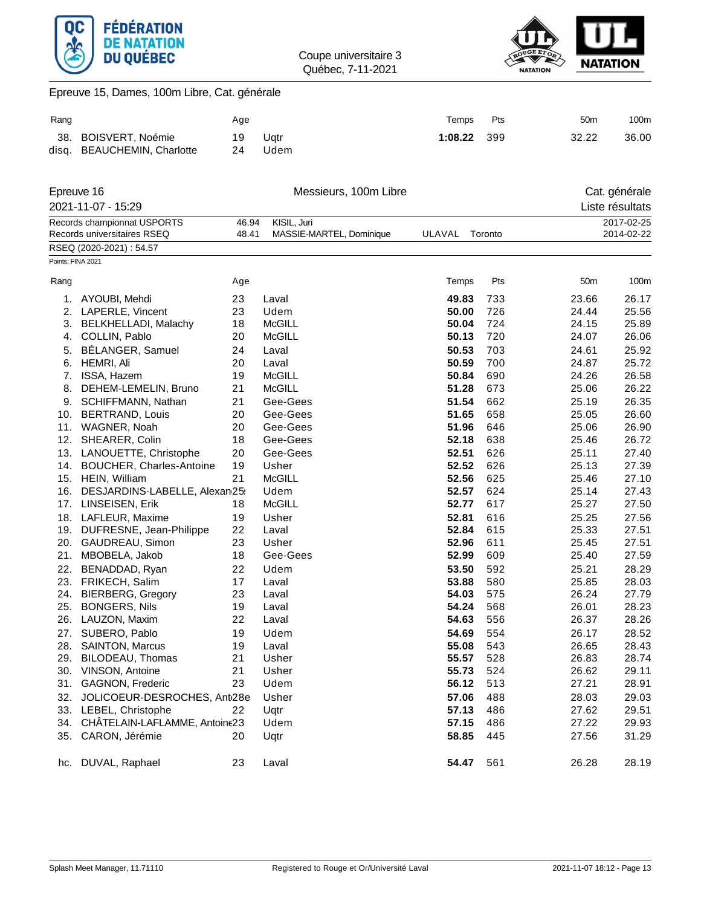



# Epreuve 15, Dames, 100m Libre, Cat. générale

| Rang |                             | Age |      | Temps   | Pts  | 50 <sub>m</sub> | 100m  |
|------|-----------------------------|-----|------|---------|------|-----------------|-------|
|      | 38. BOISVERT, Noémie        | 19  | Uatr | 1:08.22 | -399 | 32.22           | 36.00 |
|      | disg. BEAUCHEMIN, Charlotte | 24  | Udem |         |      |                 |       |

|                   | Epreuve 16                        |       | Messieurs, 100m Libre    |        |         |       | Cat. générale   |
|-------------------|-----------------------------------|-------|--------------------------|--------|---------|-------|-----------------|
|                   | 2021-11-07 - 15:29                |       |                          |        |         |       | Liste résultats |
|                   | Records championnat USPORTS       | 46.94 | KISIL, Juri              |        |         |       | 2017-02-25      |
|                   | Records universitaires RSEQ       | 48.41 | MASSIE-MARTEL, Dominique | ULAVAL | Toronto |       | 2014-02-22      |
|                   | RSEQ (2020-2021): 54.57           |       |                          |        |         |       |                 |
| Points: FINA 2021 |                                   |       |                          |        |         |       |                 |
| Rang              |                                   | Age   |                          | Temps  | Pts     | 50m   | 100m            |
| 1.                | AYOUBI, Mehdi                     | 23    | Laval                    | 49.83  | 733     | 23.66 | 26.17           |
| 2.                | LAPERLE, Vincent                  | 23    | Udem                     | 50.00  | 726     | 24.44 | 25.56           |
| 3.                | BELKHELLADI, Malachy              | 18    | <b>McGILL</b>            | 50.04  | 724     | 24.15 | 25.89           |
| 4.                | COLLIN, Pablo                     | 20    | McGILL                   | 50.13  | 720     | 24.07 | 26.06           |
| 5.                | BÉLANGER, Samuel                  | 24    | Laval                    | 50.53  | 703     | 24.61 | 25.92           |
| 6.                | HEMRI, Ali                        | 20    | Laval                    | 50.59  | 700     | 24.87 | 25.72           |
| 7.                | ISSA, Hazem                       | 19    | <b>McGILL</b>            | 50.84  | 690     | 24.26 | 26.58           |
| 8.                | DEHEM-LEMELIN, Bruno              | 21    | McGILL                   | 51.28  | 673     | 25.06 | 26.22           |
| 9.                | SCHIFFMANN, Nathan                | 21    | Gee-Gees                 | 51.54  | 662     | 25.19 | 26.35           |
| 10.               | <b>BERTRAND, Louis</b>            | 20    | Gee-Gees                 | 51.65  | 658     | 25.05 | 26.60           |
| 11.               | WAGNER, Noah                      | 20    | Gee-Gees                 | 51.96  | 646     | 25.06 | 26.90           |
| 12.               | SHEARER, Colin                    | 18    | Gee-Gees                 | 52.18  | 638     | 25.46 | 26.72           |
| 13.               | LANOUETTE, Christophe             | 20    | Gee-Gees                 | 52.51  | 626     | 25.11 | 27.40           |
| 14.               | <b>BOUCHER, Charles-Antoine</b>   | 19    | Usher                    | 52.52  | 626     | 25.13 | 27.39           |
|                   | 15. HEIN, William                 | 21    | <b>McGILL</b>            | 52.56  | 625     | 25.46 | 27.10           |
| 16.               | DESJARDINS-LABELLE, Alexan/25:    |       | Udem                     | 52.57  | 624     | 25.14 | 27.43           |
|                   | 17. LINSEISEN, Erik               | 18    | <b>McGILL</b>            | 52.77  | 617     | 25.27 | 27.50           |
|                   | 18. LAFLEUR, Maxime               | 19    | Usher                    | 52.81  | 616     | 25.25 | 27.56           |
|                   | 19. DUFRESNE, Jean-Philippe       | 22    | Laval                    | 52.84  | 615     | 25.33 | 27.51           |
|                   | 20. GAUDREAU, Simon               | 23    | Usher                    | 52.96  | 611     | 25.45 | 27.51           |
|                   | 21. MBOBELA, Jakob                | 18    | Gee-Gees                 | 52.99  | 609     | 25.40 | 27.59           |
| 22.               | BENADDAD, Ryan                    | 22    | Udem                     | 53.50  | 592     | 25.21 | 28.29           |
| 23.               | FRIKECH, Salim                    | 17    | Laval                    | 53.88  | 580     | 25.85 | 28.03           |
|                   | 24. BIERBERG, Gregory             | 23    | Laval                    | 54.03  | 575     | 26.24 | 27.79           |
| 25.               | <b>BONGERS, Nils</b>              | 19    | Laval                    | 54.24  | 568     | 26.01 | 28.23           |
| 26.               | LAUZON, Maxim                     | 22    | Laval                    | 54.63  | 556     | 26.37 | 28.26           |
| 27.               | SUBERO, Pablo                     | 19    | Udem                     | 54.69  | 554     | 26.17 | 28.52           |
| 28.               | <b>SAINTON, Marcus</b>            | 19    | Laval                    | 55.08  | 543     | 26.65 | 28.43           |
| 29.               | BILODEAU, Thomas                  | 21    | Usher                    | 55.57  | 528     | 26.83 | 28.74           |
|                   | 30. VINSON, Antoine               | 21    | Usher                    | 55.73  | 524     | 26.62 | 29.11           |
| 31.               | <b>GAGNON, Frederic</b>           | 23    | Udem                     | 56.12  | 513     | 27.21 | 28.91           |
| 32.               | JOLICOEUR-DESROCHES, Anti28e      |       | Usher                    | 57.06  | 488     | 28.03 | 29.03           |
|                   | 33. LEBEL, Christophe             | 22    | Uqtr                     | 57.13  | 486     | 27.62 | 29.51           |
|                   | 34. CHATELAIN-LAFLAMME, Antoine23 |       | Udem                     | 57.15  | 486     | 27.22 | 29.93           |
| 35.               | CARON, Jérémie                    | 20    | Uqtr                     | 58.85  | 445     | 27.56 | 31.29           |
|                   | hc. DUVAL, Raphael                | 23    | Laval                    | 54.47  | 561     | 26.28 | 28.19           |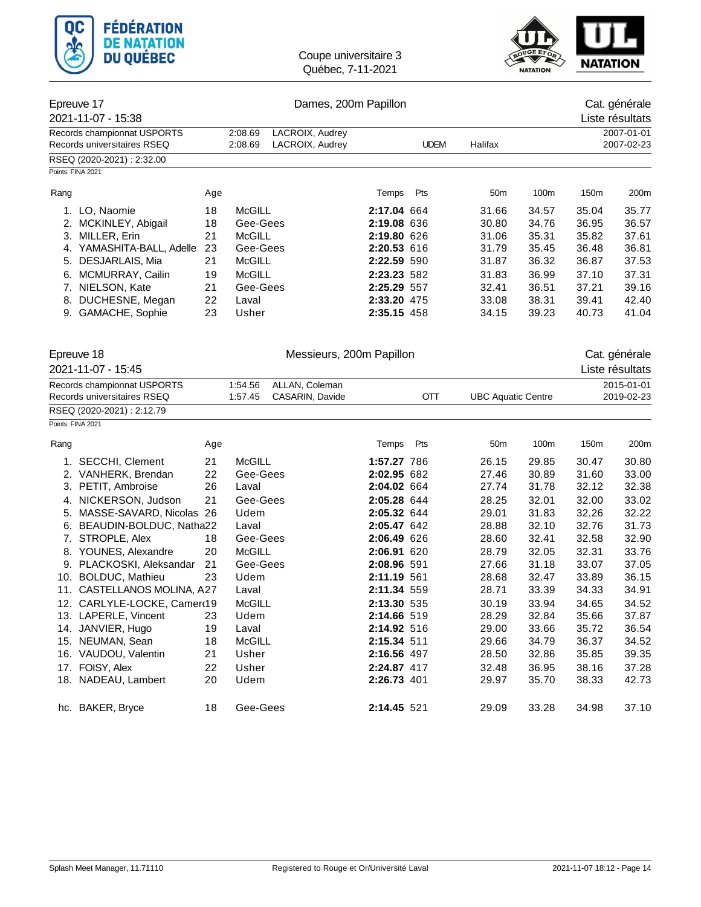



| Epreuve 17<br>2021-11-07 - 15:38                           |                             |     |                                                         | Cat. générale<br>Liste résultats   |             |             |                           |                 |                          |               |  |
|------------------------------------------------------------|-----------------------------|-----|---------------------------------------------------------|------------------------------------|-------------|-------------|---------------------------|-----------------|--------------------------|---------------|--|
|                                                            |                             |     |                                                         |                                    |             |             |                           |                 |                          | 2007-01-01    |  |
| Records championnat USPORTS<br>Records universitaires RSEQ |                             |     | 2:08.69<br>2:08.69                                      | LACROIX, Audrey<br>LACROIX, Audrey |             | <b>UDEM</b> | Halifax                   |                 |                          | 2007-02-23    |  |
|                                                            | RSEQ (2020-2021): 2:32.00   |     |                                                         |                                    |             |             |                           |                 |                          |               |  |
|                                                            | Points: FINA 2021           |     |                                                         |                                    |             |             |                           |                 |                          |               |  |
|                                                            |                             |     |                                                         |                                    |             |             |                           |                 |                          |               |  |
| Rang                                                       |                             | Age |                                                         |                                    | Temps       | Pts         | 50 <sub>m</sub>           | 100m            | 150m                     | 200m          |  |
|                                                            | 1. LO, Naomie               | 18  | <b>McGILL</b>                                           |                                    | 2:17.04 664 |             | 31.66                     | 34.57           | 35.04                    | 35.77         |  |
|                                                            | 2. MCKINLEY, Abigail        | 18  | Gee-Gees                                                |                                    | 2:19.08 636 |             | 30.80                     | 34.76           | 36.95                    | 36.57         |  |
| 3.                                                         | MILLER, Erin                | 21  | <b>McGILL</b>                                           |                                    | 2:19.80 626 |             | 31.06                     | 35.31           | 35.82                    | 37.61         |  |
|                                                            | 4. YAMASHITA-BALL, Adelle   | 23  | Gee-Gees                                                |                                    | 2:20.53 616 |             | 31.79                     | 35.45           | 36.48                    | 36.81         |  |
|                                                            | 5. DESJARLAIS, Mia          | 21  | McGILL                                                  |                                    | 2:22.59 590 |             | 31.87                     | 36.32           | 36.87                    | 37.53         |  |
|                                                            | 6. MCMURRAY, Cailin         | 19  | McGILL                                                  |                                    | 2:23.23 582 |             | 31.83                     | 36.99           | 37.10                    | 37.31         |  |
|                                                            | 7. NIELSON, Kate            | 21  | Gee-Gees                                                |                                    | 2:25.29 557 |             | 32.41                     | 36.51           | 37.21                    | 39.16         |  |
| 8.                                                         | DUCHESNE, Megan             | 22  | Laval                                                   |                                    | 2:33.20 475 |             | 33.08                     | 38.31           | 39.41                    | 42.40         |  |
|                                                            | 9. GAMACHE, Sophie          | 23  | Usher                                                   |                                    | 2:35.15 458 |             | 34.15                     | 39.23           | 40.73                    | 41.04         |  |
|                                                            |                             |     |                                                         | Messieurs, 200m Papillon           |             |             |                           |                 |                          | Cat. générale |  |
| Epreuve 18<br>2021-11-07 - 15:45                           |                             |     |                                                         |                                    |             |             |                           | Liste résultats |                          |               |  |
| Records championnat USPORTS<br>Records universitaires RSEQ |                             |     | 1:54.56<br>ALLAN, Coleman<br>CASARIN, Davide<br>1:57.45 |                                    |             | <b>OTT</b>  | <b>UBC Aquatic Centre</b> |                 | 2015-01-01<br>2019-02-23 |               |  |
|                                                            | RSEQ (2020-2021): 2:12.79   |     |                                                         |                                    |             |             |                           |                 |                          |               |  |
|                                                            | Points: FINA 2021           |     |                                                         |                                    |             |             |                           |                 |                          |               |  |
| Rang                                                       |                             | Age |                                                         |                                    | Temps       | Pts         | 50 <sub>m</sub>           | 100m            | 150m                     | 200m          |  |
|                                                            | 1. SECCHI, Clement          | 21  | <b>McGILL</b>                                           |                                    | 1:57.27 786 |             | 26.15                     | 29.85           | 30.47                    | 30.80         |  |
|                                                            | 2. VANHERK, Brendan         | 22  | Gee-Gees                                                |                                    | 2:02.95 682 |             | 27.46                     | 30.89           | 31.60                    | 33.00         |  |
|                                                            | 3. PETIT, Ambroise          | 26  | Laval                                                   |                                    | 2:04.02 664 |             | 27.74                     | 31.78           | 32.12                    | 32.38         |  |
|                                                            | 4. NICKERSON, Judson        | 21  | Gee-Gees                                                |                                    | 2:05.28 644 |             | 28.25                     | 32.01           | 32.00                    | 33.02         |  |
|                                                            | 5. MASSE-SAVARD, Nicolas 26 |     | Udem                                                    |                                    | 2:05.32 644 |             | 29.01                     | 31.83           | 32.26                    | 32.22         |  |
| 6.                                                         | BEAUDIN-BOLDUC, Natha22     |     | Laval                                                   |                                    | 2:05.47 642 |             | 28.88                     | 32.10           | 32.76                    | 31.73         |  |
|                                                            | 7. STROPLE, Alex            | 18  | Gee-Gees                                                |                                    | 2:06.49 626 |             | 28.60                     | 32.41           | 32.58                    | 32.90         |  |
|                                                            | 8. YOUNES, Alexandre        | 20  | <b>McGILL</b>                                           |                                    | 2:06.91 620 |             | 28.79                     | 32.05           | 32.31                    | 33.76         |  |
|                                                            | 9. PLACKOSKI, Aleksandar    | 21  | Gee-Gees                                                |                                    | 2:08.96 591 |             | 27.66                     | 31.18           | 33.07                    | 37.05         |  |
|                                                            | 10. BOLDUC, Mathieu         | 23  | Udem                                                    |                                    | 2:11.19 561 |             | 28.68                     | 32.47           | 33.89                    | 36.15         |  |
|                                                            | 11. CASTELLANOS MOLINA, A27 |     | Laval                                                   |                                    | 2:11.34 559 |             | 28.71                     | 33.39           | 34.33                    | 34.91         |  |
|                                                            | 12. CARLYLE-LOCKE, Camerc19 |     | McGILL                                                  |                                    | 2:13.30 535 |             | 30.19                     | 33.94           | 34.65                    | 34.52         |  |
|                                                            | 13. LAPERLE, Vincent        | 23  | Udem                                                    |                                    | 2:14.66 519 |             | 28.29                     | 32.84           | 35.66                    | 37.87         |  |
|                                                            | 14. JANVIER, Hugo           | 19  | Laval                                                   |                                    | 2:14.92 516 |             | 29.00                     | 33.66           | 35.72                    | 36.54         |  |
|                                                            | 15. NEUMAN, Sean            | 18  | McGILL                                                  |                                    | 2:15.34 511 |             | 29.66                     | 34.79           | 36.37                    | 34.52         |  |
|                                                            | 16. VAUDOU, Valentin        | 21  | Usher                                                   |                                    | 2:16.56 497 |             | 28.50                     | 32.86           | 35.85                    | 39.35         |  |
|                                                            | 17. FOISY, Alex             | 22  | Usher                                                   |                                    | 2:24.87 417 |             | 32.48                     | 36.95           | 38.16                    | 37.28         |  |
|                                                            | 18. NADEAU, Lambert         | 20  | Udem                                                    |                                    | 2:26.73 401 |             | 29.97                     | 35.70           | 38.33                    | 42.73         |  |
|                                                            | hc. BAKER, Bryce            | 18  | Gee-Gees                                                |                                    | 2:14.45 521 |             | 29.09                     | 33.28           | 34.98                    | 37.10         |  |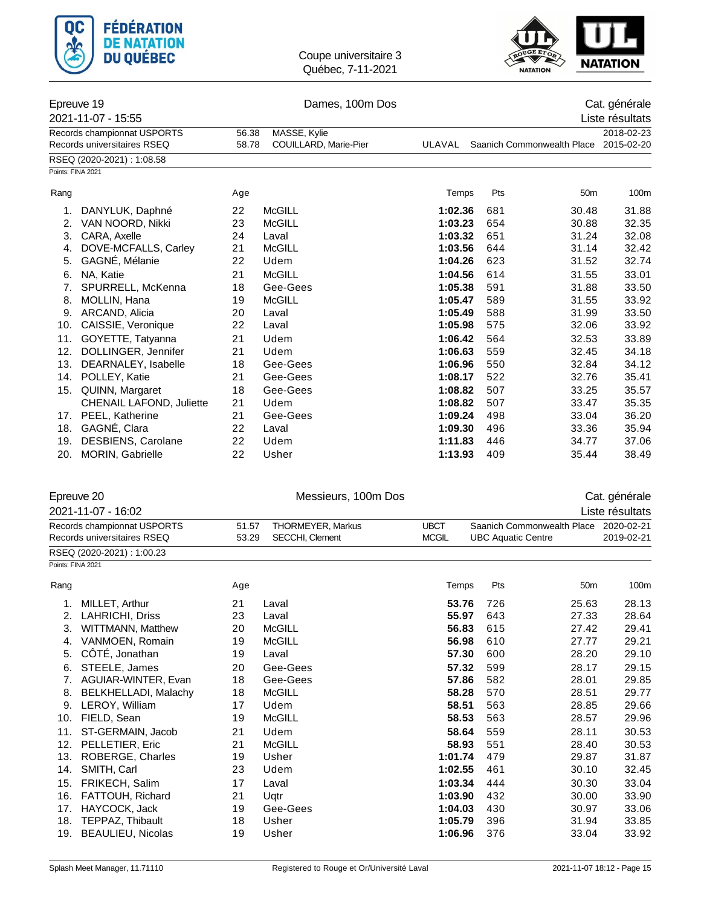



### Epreuve 19 Dames, 100m Dos Cat. générale

|                                                            | 2021-11-07 - 15:55              |       |                       |         | Liste résultats            |                 |            |
|------------------------------------------------------------|---------------------------------|-------|-----------------------|---------|----------------------------|-----------------|------------|
| Records championnat USPORTS<br>Records universitaires RSEQ |                                 | 56.38 | MASSE, Kylie          |         |                            |                 | 2018-02-23 |
|                                                            |                                 | 58.78 | COUILLARD, Marie-Pier | ULAVAL  | Saanich Commonwealth Place | 2015-02-20      |            |
|                                                            | RSEQ (2020-2021): 1:08.58       |       |                       |         |                            |                 |            |
| Points: FINA 2021                                          |                                 |       |                       |         |                            |                 |            |
| Rang                                                       |                                 | Age   |                       | Temps   | Pts                        | 50 <sub>m</sub> | 100m       |
| 1.                                                         | DANYLUK, Daphné                 | 22    | <b>McGILL</b>         | 1:02.36 | 681                        | 30.48           | 31.88      |
| 2.                                                         | VAN NOORD, Nikki                | 23    | <b>McGILL</b>         | 1:03.23 | 654                        | 30.88           | 32.35      |
| 3.                                                         | CARA, Axelle                    | 24    | Laval                 | 1:03.32 | 651                        | 31.24           | 32.08      |
| 4.                                                         | DOVE-MCFALLS, Carley            | 21    | <b>McGILL</b>         | 1:03.56 | 644                        | 31.14           | 32.42      |
| 5.                                                         | GAGNÉ, Mélanie                  | 22    | Udem                  | 1:04.26 | 623                        | 31.52           | 32.74      |
| 6.                                                         | NA, Katie                       | 21    | <b>McGILL</b>         | 1:04.56 | 614                        | 31.55           | 33.01      |
| 7.                                                         | SPURRELL, McKenna               | 18    | Gee-Gees              | 1:05.38 | 591                        | 31.88           | 33.50      |
| 8.                                                         | MOLLIN, Hana                    | 19    | <b>McGILL</b>         | 1:05.47 | 589                        | 31.55           | 33.92      |
| 9.                                                         | ARCAND, Alicia                  | 20    | Laval                 | 1:05.49 | 588                        | 31.99           | 33.50      |
| 10.                                                        | CAISSIE, Veronique              | 22    | Laval                 | 1:05.98 | 575                        | 32.06           | 33.92      |
| 11.                                                        | GOYETTE, Tatyanna               | 21    | Udem                  | 1:06.42 | 564                        | 32.53           | 33.89      |
| 12.                                                        | DOLLINGER, Jennifer             | 21    | Udem                  | 1:06.63 | 559                        | 32.45           | 34.18      |
| 13.                                                        | DEARNALEY, Isabelle             | 18    | Gee-Gees              | 1:06.96 | 550                        | 32.84           | 34.12      |
| 14.                                                        | POLLEY, Katie                   | 21    | Gee-Gees              | 1:08.17 | 522                        | 32.76           | 35.41      |
| 15.                                                        | QUINN, Margaret                 | 18    | Gee-Gees              | 1:08.82 | 507                        | 33.25           | 35.57      |
|                                                            | <b>CHENAIL LAFOND, Juliette</b> | 21    | Udem                  | 1:08.82 | 507                        | 33.47           | 35.35      |
| 17.                                                        | PEEL, Katherine                 | 21    | Gee-Gees              | 1:09.24 | 498                        | 33.04           | 36.20      |
| 18.                                                        | GAGNÉ, Clara                    | 22    | Laval                 | 1:09.30 | 496                        | 33.36           | 35.94      |
| 19.                                                        | DESBIENS, Carolane              | 22    | Udem                  | 1:11.83 | 446                        | 34.77           | 37.06      |
| 20.                                                        | <b>MORIN, Gabrielle</b>         | 22    | Usher                 | 1:13.93 | 409                        | 35.44           | 38.49      |

#### Epreuve 20 Messieurs, 100m Dos Cat. générale

2021-11-07 - 16:02 Liste résultats Records championnat USPORTS 51.57 THORMEYER, Markus UBCT Saanich Commonwealth Place 2020-02-21 Records universitaires RSEQ 63.29 SECCHI, Clement MCGIL UBC Aquatic Centre 2019-02-21 RSEQ (2020-2021) : 1:00.23 Points: FINA 2021 Rang Age Temps Pts 50m 100m 1. MILLET, Arthur 21 Laval **53.76** 726 25.63 28.13 2. LAHRICHI, Driss 23 Laval **55.97** 643 27.33 28.64 3. WITTMANN, Matthew 20 McGILL **56.83** 615 27.42 29.41 4. VANMOEN, Romain 19 McGILL **56.98** 610 27.77 29.21 5. CÔTÉ, Jonathan 19 Laval **57.30** 600 28.20 29.10 6. STEELE, James 20 Gee-Gees **57.32** 599 28.17 29.15 7. AGUIAR-WINTER, Evan 18 Gee-Gees **57.86** 582 28.01 29.85 8. BELKHELLADI, Malachy 18 McGILL **58.28** 570 28.51 29.77 9. LEROY, William 17 Udem **58.51** 563 28.85 29.66 10. FIELD, Sean 19 McGILL **58.53** 563 28.57 29.96 11. ST-GERMAIN, Jacob 21 Udem **58.64** 559 28.11 30.53 12. PELLETIER, Eric 21 McGILL **58.93** 551 28.40 30.53 13. ROBERGE, Charles 19 Usher **1:01.74** 479 29.87 31.87 14. SMITH, Carl 23 Udem **1:02.55** 461 30.10 32.45 15. FRIKECH, Salim 17 Laval **1:03.34** 444 30.30 33.04 16. FATTOUH, Richard 21 Uqtr **1:03.90** 432 30.00 33.90 17. HAYCOCK, Jack 19 Gee-Gees **1:04.03** 430 30.97 33.06 18. TEPPAZ, Thibault 18 Usher **1:05.79** 396 31.94 33.85

19. BEAULIEU, Nicolas 19 Usher **1:06.96** 376 33.04 33.92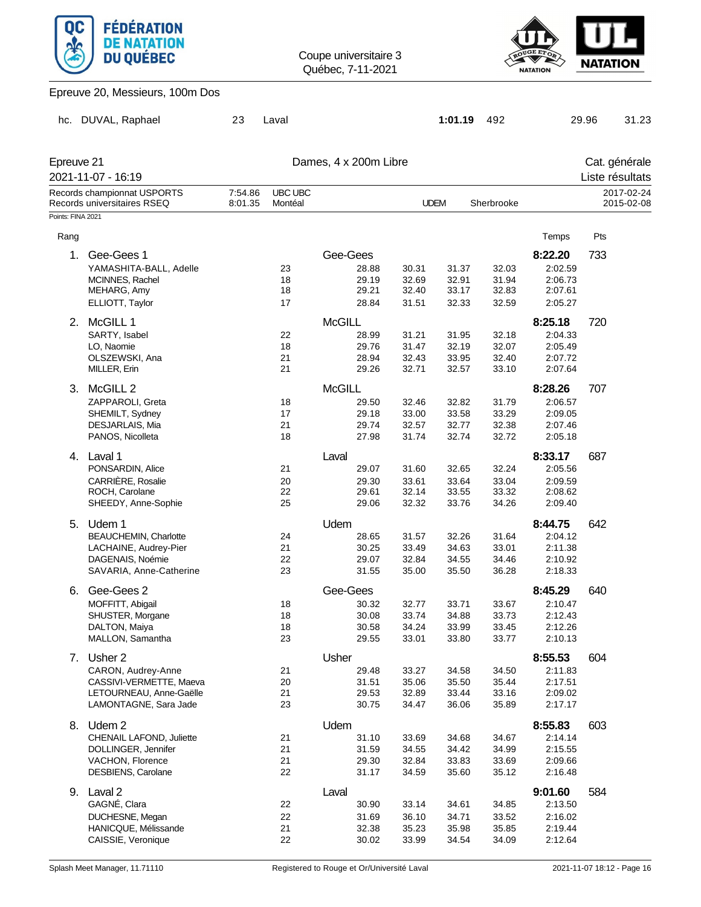



## Epreuve 20, Messieurs, 100m Dos

| hc.                              | DUVAL, Raphael                                             | 23                 | Laval                     |                       |       | 1:01.19     | 492        |         | 29.96 | 31.23                            |
|----------------------------------|------------------------------------------------------------|--------------------|---------------------------|-----------------------|-------|-------------|------------|---------|-------|----------------------------------|
| Epreuve 21<br>2021-11-07 - 16:19 |                                                            |                    |                           | Dames, 4 x 200m Libre |       |             |            |         |       | Cat. générale<br>Liste résultats |
|                                  | Records championnat USPORTS<br>Records universitaires RSEQ | 7:54.86<br>8:01.35 | <b>UBC UBC</b><br>Montéal |                       |       | <b>UDEM</b> | Sherbrooke |         |       | 2017-02-24<br>2015-02-08         |
| Points: FINA 2021                |                                                            |                    |                           |                       |       |             |            |         |       |                                  |
| Rang                             |                                                            |                    |                           |                       |       |             |            | Temps   | Pts   |                                  |
| 1.                               | Gee-Gees 1                                                 |                    |                           | Gee-Gees              |       |             |            | 8:22.20 | 733   |                                  |
|                                  | YAMASHITA-BALL, Adelle                                     |                    | 23                        | 28.88                 | 30.31 | 31.37       | 32.03      | 2:02.59 |       |                                  |
|                                  | MCINNES, Rachel                                            |                    | 18                        | 29.19                 | 32.69 | 32.91       | 31.94      | 2:06.73 |       |                                  |
|                                  | MEHARG, Amy                                                |                    | 18                        | 29.21                 | 32.40 | 33.17       | 32.83      | 2:07.61 |       |                                  |
|                                  | ELLIOTT, Taylor                                            |                    | 17                        | 28.84                 | 31.51 | 32.33       | 32.59      | 2:05.27 |       |                                  |
|                                  |                                                            |                    |                           |                       |       |             |            |         |       |                                  |
|                                  | 2. McGILL 1                                                |                    |                           | <b>McGILL</b>         |       |             |            | 8:25.18 | 720   |                                  |
|                                  | SARTY, Isabel                                              |                    | 22                        | 28.99                 | 31.21 | 31.95       | 32.18      | 2:04.33 |       |                                  |
|                                  | LO, Naomie                                                 |                    | 18                        | 29.76                 | 31.47 | 32.19       | 32.07      | 2:05.49 |       |                                  |
|                                  | OLSZEWSKI, Ana                                             |                    | 21                        | 28.94                 | 32.43 | 33.95       | 32.40      | 2:07.72 |       |                                  |
|                                  | MILLER, Erin                                               |                    | 21                        | 29.26                 | 32.71 | 32.57       | 33.10      | 2:07.64 |       |                                  |
|                                  | 3. McGILL 2                                                |                    |                           | <b>McGILL</b>         |       |             |            | 8:28.26 | 707   |                                  |
|                                  | ZAPPAROLI, Greta                                           |                    | 18                        | 29.50                 | 32.46 | 32.82       | 31.79      | 2:06.57 |       |                                  |
|                                  | SHEMILT, Sydney                                            |                    | 17                        | 29.18                 | 33.00 | 33.58       | 33.29      | 2:09.05 |       |                                  |
|                                  | DESJARLAIS, Mia                                            |                    | 21                        | 29.74                 | 32.57 | 32.77       | 32.38      | 2:07.46 |       |                                  |
|                                  | PANOS, Nicolleta                                           |                    | 18                        | 27.98                 | 31.74 | 32.74       | 32.72      | 2:05.18 |       |                                  |
|                                  |                                                            |                    |                           |                       |       |             |            |         |       |                                  |
|                                  | 4. Laval 1                                                 |                    |                           | Laval                 |       |             |            | 8:33.17 | 687   |                                  |
|                                  | PONSARDIN, Alice                                           |                    | 21                        | 29.07                 | 31.60 | 32.65       | 32.24      | 2:05.56 |       |                                  |
|                                  | CARRIÈRE, Rosalie                                          |                    | 20                        | 29.30                 | 33.61 | 33.64       | 33.04      | 2:09.59 |       |                                  |
|                                  | ROCH, Carolane                                             |                    | 22                        | 29.61                 | 32.14 | 33.55       | 33.32      | 2:08.62 |       |                                  |
|                                  | SHEEDY, Anne-Sophie                                        |                    | 25                        | 29.06                 | 32.32 | 33.76       | 34.26      | 2:09.40 |       |                                  |
|                                  | 5. Udem 1                                                  |                    |                           | Udem                  |       |             |            | 8:44.75 | 642   |                                  |
|                                  | <b>BEAUCHEMIN, Charlotte</b>                               |                    | 24                        | 28.65                 | 31.57 | 32.26       | 31.64      | 2:04.12 |       |                                  |
|                                  | LACHAINE, Audrey-Pier                                      |                    | 21                        | 30.25                 | 33.49 | 34.63       | 33.01      | 2:11.38 |       |                                  |
|                                  | DAGENAIS, Noémie                                           |                    | 22                        | 29.07                 | 32.84 | 34.55       | 34.46      | 2:10.92 |       |                                  |
|                                  | SAVARIA, Anne-Catherine                                    |                    | 23                        | 31.55                 | 35.00 | 35.50       | 36.28      | 2:18.33 |       |                                  |
| 6.                               | Gee-Gees 2                                                 |                    |                           | Gee-Gees              |       |             |            | 8:45.29 | 640   |                                  |
|                                  | MOFFITT, Abigail                                           |                    | 18                        | 30.32                 | 32.77 | 33.71       | 33.67      | 2:10.47 |       |                                  |
|                                  | SHUSTER, Morgane                                           |                    | 18                        | 30.08                 | 33.74 | 34.88       | 33.73      | 2:12.43 |       |                                  |
|                                  | DALTON, Maiya                                              |                    | 18                        | 30.58                 | 34.24 | 33.99       | 33.45      | 2:12.26 |       |                                  |
|                                  | MALLON, Samantha                                           |                    | 23                        | 29.55                 | 33.01 | 33.80       | 33.77      | 2:10.13 |       |                                  |
|                                  |                                                            |                    |                           |                       |       |             |            |         |       |                                  |
|                                  | 7. Usher 2                                                 |                    |                           | Usher                 |       |             |            | 8:55.53 | 604   |                                  |
|                                  | CARON, Audrey-Anne                                         |                    | 21                        | 29.48                 | 33.27 | 34.58       | 34.50      | 2:11.83 |       |                                  |
|                                  | CASSIVI-VERMETTE, Maeva                                    |                    | 20                        | 31.51                 | 35.06 | 35.50       | 35.44      | 2:17.51 |       |                                  |
|                                  | LETOURNEAU, Anne-Gaëlle                                    |                    | 21                        | 29.53                 | 32.89 | 33.44       | 33.16      | 2:09.02 |       |                                  |
|                                  | LAMONTAGNE, Sara Jade                                      |                    | 23                        | 30.75                 | 34.47 | 36.06       | 35.89      | 2:17.17 |       |                                  |
|                                  | 8. Udem 2                                                  |                    |                           | Udem                  |       |             |            | 8:55.83 | 603   |                                  |
|                                  | CHENAIL LAFOND, Juliette                                   |                    | 21                        | 31.10                 | 33.69 | 34.68       | 34.67      | 2:14.14 |       |                                  |
|                                  | DOLLINGER, Jennifer                                        |                    | 21                        | 31.59                 | 34.55 | 34.42       | 34.99      | 2:15.55 |       |                                  |
|                                  | VACHON, Florence                                           |                    | 21                        | 29.30                 | 32.84 | 33.83       | 33.69      | 2:09.66 |       |                                  |
|                                  | DESBIENS, Carolane                                         |                    | 22                        | 31.17                 | 34.59 | 35.60       | 35.12      | 2:16.48 |       |                                  |
|                                  | 9. Laval 2                                                 |                    |                           | Laval                 |       |             |            | 9:01.60 | 584   |                                  |
|                                  | GAGNÉ, Clara                                               |                    | 22                        | 30.90                 | 33.14 | 34.61       | 34.85      | 2:13.50 |       |                                  |
|                                  | DUCHESNE, Megan                                            |                    | 22                        | 31.69                 | 36.10 | 34.71       | 33.52      | 2:16.02 |       |                                  |
|                                  | HANICQUE, Mélissande                                       |                    | 21                        | 32.38                 | 35.23 | 35.98       | 35.85      | 2:19.44 |       |                                  |
|                                  | CAISSIE, Veronique                                         |                    | 22                        | 30.02                 | 33.99 | 34.54       | 34.09      | 2:12.64 |       |                                  |
|                                  |                                                            |                    |                           |                       |       |             |            |         |       |                                  |